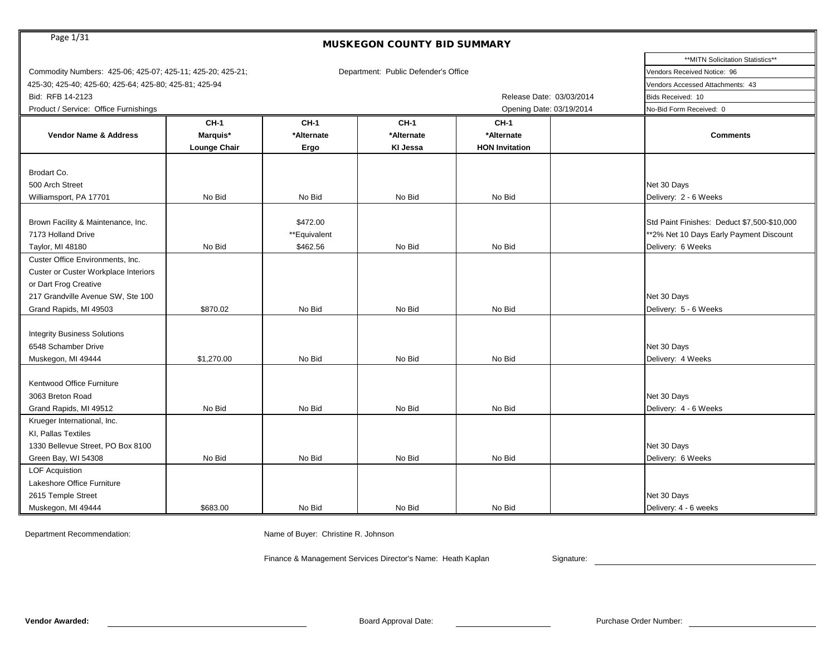| Page 1/31<br><b>MUSKEGON COUNTY BID SUMMARY</b>            |                     |              |                                      |                          |                                             |  |  |  |  |
|------------------------------------------------------------|---------------------|--------------|--------------------------------------|--------------------------|---------------------------------------------|--|--|--|--|
|                                                            |                     |              |                                      |                          | **MITN Solicitation Statistics**            |  |  |  |  |
| Commodity Numbers: 425-06; 425-07; 425-11; 425-20; 425-21; |                     |              | Department: Public Defender's Office |                          | Vendors Received Notice: 96                 |  |  |  |  |
| 425-30; 425-40; 425-60; 425-64; 425-80; 425-81; 425-94     |                     |              |                                      |                          | Vendors Accessed Attachments: 43            |  |  |  |  |
| Bid: RFB 14-2123                                           |                     |              |                                      | Release Date: 03/03/2014 | Bids Received: 10                           |  |  |  |  |
| Product / Service: Office Furnishings                      |                     |              |                                      | Opening Date: 03/19/2014 | No-Bid Form Received: 0                     |  |  |  |  |
|                                                            | <b>CH-1</b>         | <b>CH-1</b>  | <b>CH-1</b>                          | <b>CH-1</b>              |                                             |  |  |  |  |
| <b>Vendor Name &amp; Address</b>                           | Marquis*            | *Alternate   | *Alternate                           | *Alternate               | <b>Comments</b>                             |  |  |  |  |
|                                                            | <b>Lounge Chair</b> | Ergo         | KI Jessa                             | <b>HON Invitation</b>    |                                             |  |  |  |  |
|                                                            |                     |              |                                      |                          |                                             |  |  |  |  |
| Brodart Co.                                                |                     |              |                                      |                          |                                             |  |  |  |  |
| 500 Arch Street                                            |                     |              |                                      |                          | Net 30 Days                                 |  |  |  |  |
| Williamsport, PA 17701                                     | No Bid              | No Bid       | No Bid                               | No Bid                   | Delivery: 2 - 6 Weeks                       |  |  |  |  |
|                                                            |                     |              |                                      |                          |                                             |  |  |  |  |
| Brown Facility & Maintenance, Inc.                         |                     | \$472.00     |                                      |                          | Std Paint Finishes: Deduct \$7,500-\$10,000 |  |  |  |  |
| 7173 Holland Drive                                         |                     | **Equivalent |                                      |                          | ** 2% Net 10 Days Early Payment Discount    |  |  |  |  |
| Taylor, MI 48180                                           | No Bid              | \$462.56     | No Bid                               | No Bid                   | Delivery: 6 Weeks                           |  |  |  |  |
| Custer Office Environments, Inc.                           |                     |              |                                      |                          |                                             |  |  |  |  |
| <b>Custer or Custer Workplace Interiors</b>                |                     |              |                                      |                          |                                             |  |  |  |  |
| or Dart Frog Creative                                      |                     |              |                                      |                          |                                             |  |  |  |  |
| 217 Grandville Avenue SW, Ste 100                          |                     |              |                                      |                          | Net 30 Days                                 |  |  |  |  |
| Grand Rapids, MI 49503                                     | \$870.02            | No Bid       | No Bid                               | No Bid                   | Delivery: 5 - 6 Weeks                       |  |  |  |  |
|                                                            |                     |              |                                      |                          |                                             |  |  |  |  |
| <b>Integrity Business Solutions</b>                        |                     |              |                                      |                          |                                             |  |  |  |  |
| 6548 Schamber Drive                                        |                     |              |                                      |                          | Net 30 Days                                 |  |  |  |  |
| Muskegon, MI 49444                                         | \$1,270.00          | No Bid       | No Bid                               | No Bid                   | Delivery: 4 Weeks                           |  |  |  |  |
|                                                            |                     |              |                                      |                          |                                             |  |  |  |  |
| Kentwood Office Furniture                                  |                     |              |                                      |                          |                                             |  |  |  |  |
| 3063 Breton Road                                           |                     |              |                                      |                          | Net 30 Days                                 |  |  |  |  |
| Grand Rapids, MI 49512                                     | No Bid              | No Bid       | No Bid                               | No Bid                   | Delivery: 4 - 6 Weeks                       |  |  |  |  |
| Krueger International, Inc.                                |                     |              |                                      |                          |                                             |  |  |  |  |
| KI, Pallas Textiles                                        |                     |              |                                      |                          |                                             |  |  |  |  |
| 1330 Bellevue Street, PO Box 8100                          |                     |              |                                      |                          | Net 30 Days                                 |  |  |  |  |
| Green Bay, WI 54308                                        | No Bid              | No Bid       | No Bid                               | No Bid                   | Delivery: 6 Weeks                           |  |  |  |  |
| <b>LOF Acquistion</b>                                      |                     |              |                                      |                          |                                             |  |  |  |  |
| Lakeshore Office Furniture                                 |                     |              |                                      |                          |                                             |  |  |  |  |
| 2615 Temple Street                                         |                     |              |                                      |                          | Net 30 Days                                 |  |  |  |  |
| Muskegon, MI 49444                                         | \$683.00            | No Bid       | No Bid                               | No Bid                   | Delivery: 4 - 6 weeks                       |  |  |  |  |

Department Recommendation: Name of Buyer: Christine R. Johnson

Finance & Management Services Director's Name: Heath Kaplan Signature: Signature: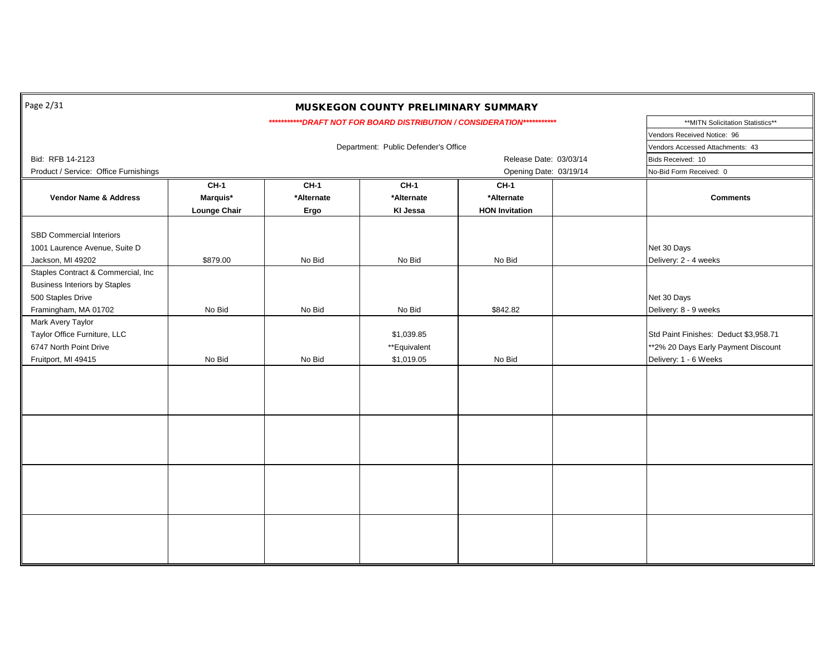| Page 2/31                             |                        |                         | MUSKEGON COUNTY PRELIMINARY SUMMARY  |                                                                            |  |                                       |
|---------------------------------------|------------------------|-------------------------|--------------------------------------|----------------------------------------------------------------------------|--|---------------------------------------|
|                                       |                        |                         |                                      | **************DRAFT NOT FOR BOARD DISTRIBUTION / CONSIDERATION************ |  | **MITN Solicitation Statistics**      |
|                                       |                        |                         |                                      |                                                                            |  | Vendors Received Notice: 96           |
|                                       |                        |                         | Department: Public Defender's Office |                                                                            |  | Vendors Accessed Attachments: 43      |
| Bid: RFB 14-2123                      |                        |                         |                                      | Release Date: 03/03/14                                                     |  | Bids Received: 10                     |
| Product / Service: Office Furnishings | Opening Date: 03/19/14 | No-Bid Form Received: 0 |                                      |                                                                            |  |                                       |
|                                       | <b>CH-1</b>            | <b>CH-1</b>             | <b>CH-1</b>                          | <b>CH-1</b>                                                                |  |                                       |
| Vendor Name & Address                 | Marquis*               | *Alternate              | *Alternate                           | *Alternate                                                                 |  | <b>Comments</b>                       |
|                                       | <b>Lounge Chair</b>    | Ergo                    | KI Jessa                             | <b>HON Invitation</b>                                                      |  |                                       |
| SBD Commercial Interiors              |                        |                         |                                      |                                                                            |  |                                       |
|                                       |                        |                         |                                      |                                                                            |  |                                       |
| 1001 Laurence Avenue, Suite D         |                        |                         |                                      |                                                                            |  | Net 30 Days                           |
| Jackson, MI 49202                     | \$879.00               | No Bid                  | No Bid                               | No Bid                                                                     |  | Delivery: 2 - 4 weeks                 |
| Staples Contract & Commercial, Inc    |                        |                         |                                      |                                                                            |  |                                       |
| <b>Business Interiors by Staples</b>  |                        |                         |                                      |                                                                            |  |                                       |
| 500 Staples Drive                     |                        |                         |                                      |                                                                            |  | Net 30 Days                           |
| Framingham, MA 01702                  | No Bid                 | No Bid                  | No Bid                               | \$842.82                                                                   |  | Delivery: 8 - 9 weeks                 |
| Mark Avery Taylor                     |                        |                         |                                      |                                                                            |  |                                       |
| Taylor Office Furniture, LLC          |                        |                         | \$1,039.85                           |                                                                            |  | Std Paint Finishes: Deduct \$3,958.71 |
| 6747 North Point Drive                |                        |                         | **Equivalent                         |                                                                            |  | **2% 20 Days Early Payment Discount   |
| Fruitport, MI 49415                   | No Bid                 | No Bid                  | \$1,019.05                           | No Bid                                                                     |  | Delivery: 1 - 6 Weeks                 |
|                                       |                        |                         |                                      |                                                                            |  |                                       |
|                                       |                        |                         |                                      |                                                                            |  |                                       |
|                                       |                        |                         |                                      |                                                                            |  |                                       |
|                                       |                        |                         |                                      |                                                                            |  |                                       |
|                                       |                        |                         |                                      |                                                                            |  |                                       |
|                                       |                        |                         |                                      |                                                                            |  |                                       |
|                                       |                        |                         |                                      |                                                                            |  |                                       |
|                                       |                        |                         |                                      |                                                                            |  |                                       |
|                                       |                        |                         |                                      |                                                                            |  |                                       |
|                                       |                        |                         |                                      |                                                                            |  |                                       |
|                                       |                        |                         |                                      |                                                                            |  |                                       |
|                                       |                        |                         |                                      |                                                                            |  |                                       |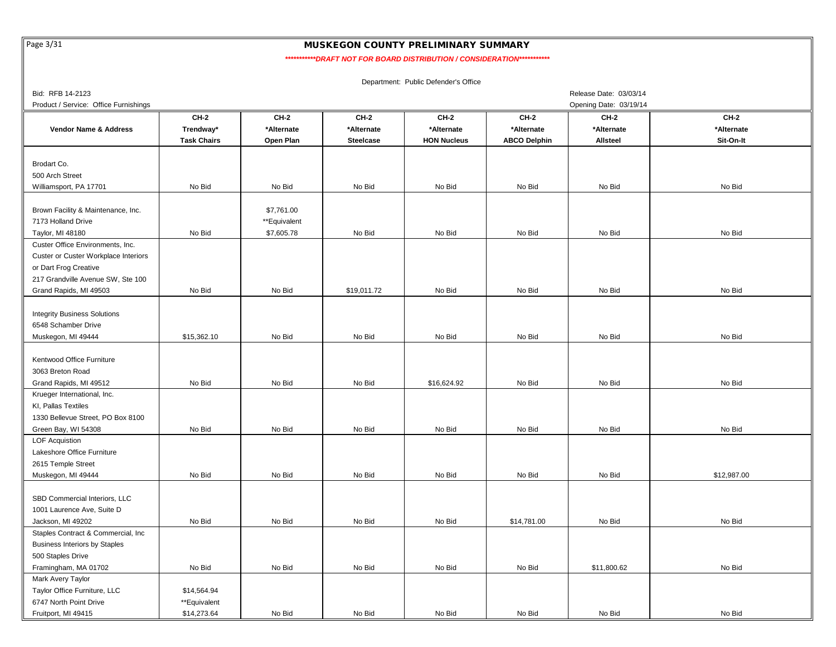Page 3/31

#### MUSKEGON COUNTY PRELIMINARY SUMMARY

*\*\*\*\*\*\*\*\*\*\*\*DRAFT NOT FOR BOARD DISTRIBUTION / CONSIDERATION\*\*\*\*\*\*\*\*\*\*\**

|                                       |                    |              |                  | Department: Public Defender's Office |                     |                        |             |
|---------------------------------------|--------------------|--------------|------------------|--------------------------------------|---------------------|------------------------|-------------|
| Bid: RFB 14-2123                      |                    |              |                  |                                      |                     | Release Date: 03/03/14 |             |
| Product / Service: Office Furnishings |                    |              |                  |                                      |                     | Opening Date: 03/19/14 |             |
|                                       | <b>CH-2</b>        | <b>CH-2</b>  | <b>CH-2</b>      | <b>CH-2</b>                          | <b>CH-2</b>         | <b>CH-2</b>            | <b>CH-2</b> |
| <b>Vendor Name &amp; Address</b>      | Trendway*          | *Alternate   | *Alternate       | *Alternate                           | *Alternate          | *Alternate             | *Alternate  |
|                                       | <b>Task Chairs</b> | Open Plan    | <b>Steelcase</b> | <b>HON Nucleus</b>                   | <b>ABCO Delphin</b> | Allsteel               | Sit-On-It   |
|                                       |                    |              |                  |                                      |                     |                        |             |
| Brodart Co.                           |                    |              |                  |                                      |                     |                        |             |
| 500 Arch Street                       |                    |              |                  |                                      |                     |                        |             |
| Williamsport, PA 17701                | No Bid             | No Bid       | No Bid           | No Bid                               | No Bid              | No Bid                 | No Bid      |
|                                       |                    |              |                  |                                      |                     |                        |             |
| Brown Facility & Maintenance, Inc.    |                    | \$7,761.00   |                  |                                      |                     |                        |             |
| 7173 Holland Drive                    |                    | **Equivalent |                  |                                      |                     |                        |             |
| Taylor, MI 48180                      | No Bid             | \$7,605.78   | No Bid           | No Bid                               | No Bid              | No Bid                 | No Bid      |
| Custer Office Environments, Inc.      |                    |              |                  |                                      |                     |                        |             |
| Custer or Custer Workplace Interiors  |                    |              |                  |                                      |                     |                        |             |
| or Dart Frog Creative                 |                    |              |                  |                                      |                     |                        |             |
|                                       |                    |              |                  |                                      |                     |                        |             |
| 217 Grandville Avenue SW, Ste 100     | No Bid             | No Bid       |                  |                                      | No Bid              | No Bid                 | No Bid      |
| Grand Rapids, MI 49503                |                    |              | \$19,011.72      | No Bid                               |                     |                        |             |
|                                       |                    |              |                  |                                      |                     |                        |             |
| <b>Integrity Business Solutions</b>   |                    |              |                  |                                      |                     |                        |             |
| 6548 Schamber Drive                   |                    |              |                  |                                      |                     |                        |             |
| Muskegon, MI 49444                    | \$15,362.10        | No Bid       | No Bid           | No Bid                               | No Bid              | No Bid                 | No Bid      |
|                                       |                    |              |                  |                                      |                     |                        |             |
| Kentwood Office Furniture             |                    |              |                  |                                      |                     |                        |             |
| 3063 Breton Road                      |                    |              |                  |                                      |                     |                        |             |
| Grand Rapids, MI 49512                | No Bid             | No Bid       | No Bid           | \$16,624.92                          | No Bid              | No Bid                 | No Bid      |
| Krueger International, Inc.           |                    |              |                  |                                      |                     |                        |             |
| KI, Pallas Textiles                   |                    |              |                  |                                      |                     |                        |             |
| 1330 Bellevue Street, PO Box 8100     |                    |              |                  |                                      |                     |                        |             |
| Green Bay, WI 54308                   | No Bid             | No Bid       | No Bid           | No Bid                               | No Bid              | No Bid                 | No Bid      |
| <b>LOF Acquistion</b>                 |                    |              |                  |                                      |                     |                        |             |
| Lakeshore Office Furniture            |                    |              |                  |                                      |                     |                        |             |
| 2615 Temple Street                    |                    |              |                  |                                      |                     |                        |             |
| Muskegon, MI 49444                    | No Bid             | No Bid       | No Bid           | No Bid                               | No Bid              | No Bid                 | \$12,987.00 |
|                                       |                    |              |                  |                                      |                     |                        |             |
| SBD Commercial Interiors, LLC         |                    |              |                  |                                      |                     |                        |             |
| 1001 Laurence Ave, Suite D            |                    |              |                  |                                      |                     |                        |             |
| Jackson, MI 49202                     | No Bid             | No Bid       | No Bid           | No Bid                               | \$14,781.00         | No Bid                 | No Bid      |
| Staples Contract & Commercial, Inc.   |                    |              |                  |                                      |                     |                        |             |
| <b>Business Interiors by Staples</b>  |                    |              |                  |                                      |                     |                        |             |
| 500 Staples Drive                     |                    |              |                  |                                      |                     |                        |             |
| Framingham, MA 01702                  | No Bid             | No Bid       | No Bid           | No Bid                               | No Bid              | \$11,800.62            | No Bid      |
| Mark Avery Taylor                     |                    |              |                  |                                      |                     |                        |             |
| Taylor Office Furniture, LLC          | \$14,564.94        |              |                  |                                      |                     |                        |             |
| 6747 North Point Drive                | **Equivalent       |              |                  |                                      |                     |                        |             |
| Fruitport, MI 49415                   | \$14,273.64        | No Bid       | No Bid           | No Bid                               | No Bid              | No Bid                 | No Bid      |

\$14,273.64 No Bid No Bid No Bid No Bid No Bid No Bid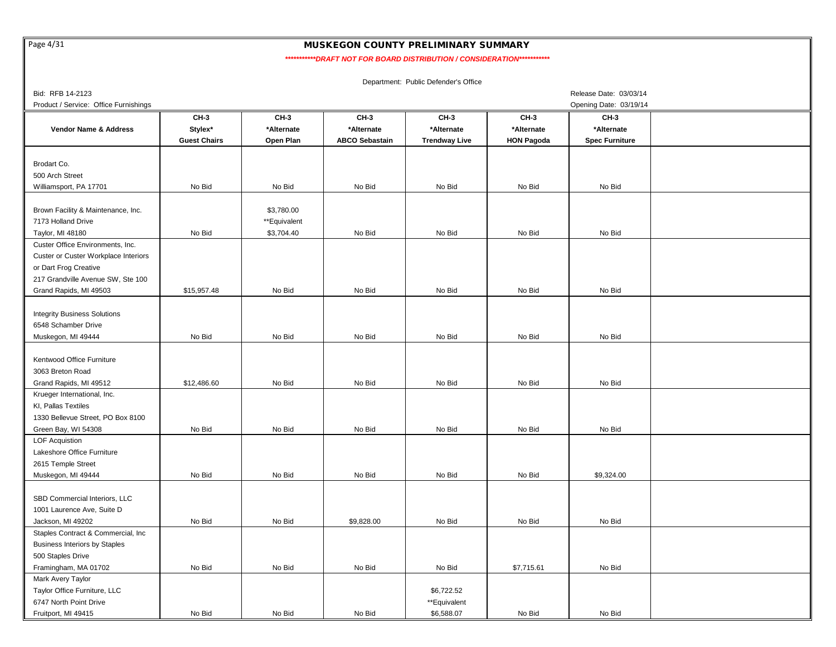Page 4/31

# MUSKEGON COUNTY PRELIMINARY SUMMARY

*\*\*\*\*\*\*\*\*\*\*\*DRAFT NOT FOR BOARD DISTRIBUTION / CONSIDERATION\*\*\*\*\*\*\*\*\*\*\**

| Bid: RFB 14-2123                      |                     |              |                       |                      |                   | Release Date: 03/03/14 |  |
|---------------------------------------|---------------------|--------------|-----------------------|----------------------|-------------------|------------------------|--|
| Product / Service: Office Furnishings |                     |              |                       |                      |                   | Opening Date: 03/19/14 |  |
|                                       | CH-3                | CH-3         | CH-3                  | <b>CH-3</b>          | <b>CH-3</b>       | CH-3                   |  |
| <b>Vendor Name &amp; Address</b>      | Stylex*             | *Alternate   | *Alternate            | *Alternate           | *Alternate        | *Alternate             |  |
|                                       | <b>Guest Chairs</b> | Open Plan    | <b>ABCO Sebastain</b> | <b>Trendway Live</b> | <b>HON Pagoda</b> | <b>Spec Furniture</b>  |  |
|                                       |                     |              |                       |                      |                   |                        |  |
| Brodart Co.                           |                     |              |                       |                      |                   |                        |  |
| 500 Arch Street                       |                     |              |                       |                      |                   |                        |  |
| Williamsport, PA 17701                | No Bid              | No Bid       | No Bid                | No Bid               | No Bid            | No Bid                 |  |
|                                       |                     |              |                       |                      |                   |                        |  |
| Brown Facility & Maintenance, Inc.    |                     | \$3,780.00   |                       |                      |                   |                        |  |
| 7173 Holland Drive                    |                     | **Equivalent |                       |                      |                   |                        |  |
| Taylor, MI 48180                      | No Bid              | \$3,704.40   | No Bid                | No Bid               | No Bid            | No Bid                 |  |
| Custer Office Environments, Inc.      |                     |              |                       |                      |                   |                        |  |
| Custer or Custer Workplace Interiors  |                     |              |                       |                      |                   |                        |  |
| or Dart Frog Creative                 |                     |              |                       |                      |                   |                        |  |
|                                       |                     |              |                       |                      |                   |                        |  |
| 217 Grandville Avenue SW, Ste 100     |                     |              |                       |                      | No Bid            | No Bid                 |  |
| Grand Rapids, MI 49503                | \$15,957.48         | No Bid       | No Bid                | No Bid               |                   |                        |  |
|                                       |                     |              |                       |                      |                   |                        |  |
| <b>Integrity Business Solutions</b>   |                     |              |                       |                      |                   |                        |  |
| 6548 Schamber Drive                   |                     |              |                       |                      |                   |                        |  |
| Muskegon, MI 49444                    | No Bid              | No Bid       | No Bid                | No Bid               | No Bid            | No Bid                 |  |
|                                       |                     |              |                       |                      |                   |                        |  |
| Kentwood Office Furniture             |                     |              |                       |                      |                   |                        |  |
| 3063 Breton Road                      |                     |              |                       |                      |                   |                        |  |
| Grand Rapids, MI 49512                | \$12,486.60         | No Bid       | No Bid                | No Bid               | No Bid            | No Bid                 |  |
| Krueger International, Inc.           |                     |              |                       |                      |                   |                        |  |
| KI, Pallas Textiles                   |                     |              |                       |                      |                   |                        |  |
| 1330 Bellevue Street, PO Box 8100     |                     |              |                       |                      |                   |                        |  |
| Green Bay, WI 54308                   | No Bid              | No Bid       | No Bid                | No Bid               | No Bid            | No Bid                 |  |
| <b>LOF Acquistion</b>                 |                     |              |                       |                      |                   |                        |  |
| Lakeshore Office Furniture            |                     |              |                       |                      |                   |                        |  |
| 2615 Temple Street                    |                     |              |                       |                      |                   |                        |  |
| Muskegon, MI 49444                    | No Bid              | No Bid       | No Bid                | No Bid               | No Bid            | \$9,324.00             |  |
|                                       |                     |              |                       |                      |                   |                        |  |
| SBD Commercial Interiors, LLC         |                     |              |                       |                      |                   |                        |  |
| 1001 Laurence Ave, Suite D            |                     |              |                       |                      |                   |                        |  |
| Jackson, MI 49202                     | No Bid              | No Bid       | \$9,828.00            | No Bid               | No Bid            | No Bid                 |  |
| Staples Contract & Commercial, Inc.   |                     |              |                       |                      |                   |                        |  |
| <b>Business Interiors by Staples</b>  |                     |              |                       |                      |                   |                        |  |
| 500 Staples Drive                     |                     |              |                       |                      |                   |                        |  |
| Framingham, MA 01702                  | No Bid              | No Bid       | No Bid                | No Bid               | \$7,715.61        | No Bid                 |  |
| Mark Avery Taylor                     |                     |              |                       |                      |                   |                        |  |
| Taylor Office Furniture, LLC          |                     |              |                       | \$6,722.52           |                   |                        |  |
| 6747 North Point Drive                |                     |              |                       | **Equivalent         |                   |                        |  |
| Fruitport, MI 49415                   | No Bid              | No Bid       | No Bid                | \$6,588.07           | No Bid            | No Bid                 |  |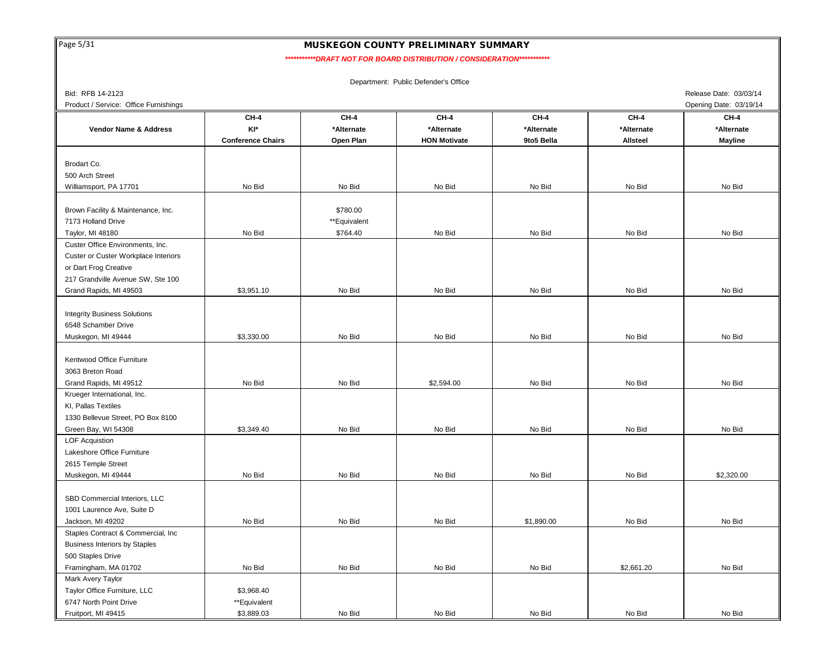Page 5/31

#### MUSKEGON COUNTY PRELIMINARY SUMMARY

*\*\*\*\*\*\*\*\*\*\*\*DRAFT NOT FOR BOARD DISTRIBUTION / CONSIDERATION\*\*\*\*\*\*\*\*\*\*\**

| Bid: RFB 14-2123                      |                          |              |                     |             |             | Release Date: 03/03/14 |
|---------------------------------------|--------------------------|--------------|---------------------|-------------|-------------|------------------------|
| Product / Service: Office Furnishings |                          |              |                     |             |             | Opening Date: 03/19/14 |
|                                       | <b>CH-4</b>              | <b>CH-4</b>  | <b>CH-4</b>         | <b>CH-4</b> | <b>CH-4</b> | <b>CH-4</b>            |
| <b>Vendor Name &amp; Address</b>      | KI*                      | *Alternate   | *Alternate          | *Alternate  | *Alternate  | *Alternate             |
|                                       | <b>Conference Chairs</b> | Open Plan    | <b>HON Motivate</b> | 9to5 Bella  | Allsteel    | <b>Mayline</b>         |
|                                       |                          |              |                     |             |             |                        |
| Brodart Co.                           |                          |              |                     |             |             |                        |
| 500 Arch Street                       |                          |              |                     |             |             |                        |
| Williamsport, PA 17701                | No Bid                   | No Bid       | No Bid              | No Bid      | No Bid      | No Bid                 |
|                                       |                          |              |                     |             |             |                        |
| Brown Facility & Maintenance, Inc.    |                          | \$780.00     |                     |             |             |                        |
| 7173 Holland Drive                    |                          | **Equivalent |                     |             |             |                        |
| Taylor, MI 48180                      | No Bid                   | \$764.40     | No Bid              | No Bid      | No Bid      | No Bid                 |
| Custer Office Environments, Inc.      |                          |              |                     |             |             |                        |
| Custer or Custer Workplace Interiors  |                          |              |                     |             |             |                        |
| or Dart Frog Creative                 |                          |              |                     |             |             |                        |
| 217 Grandville Avenue SW, Ste 100     |                          |              |                     |             |             |                        |
| Grand Rapids, MI 49503                | \$3,951.10               | No Bid       | No Bid              | No Bid      | No Bid      | No Bid                 |
|                                       |                          |              |                     |             |             |                        |
| <b>Integrity Business Solutions</b>   |                          |              |                     |             |             |                        |
| 6548 Schamber Drive                   |                          |              |                     |             |             |                        |
| Muskegon, MI 49444                    | \$3,330.00               | No Bid       | No Bid              | No Bid      | No Bid      | No Bid                 |
|                                       |                          |              |                     |             |             |                        |
| Kentwood Office Furniture             |                          |              |                     |             |             |                        |
| 3063 Breton Road                      |                          |              |                     |             |             |                        |
| Grand Rapids, MI 49512                | No Bid                   | No Bid       | \$2,594.00          | No Bid      | No Bid      | No Bid                 |
| Krueger International, Inc.           |                          |              |                     |             |             |                        |
| KI, Pallas Textiles                   |                          |              |                     |             |             |                        |
| 1330 Bellevue Street, PO Box 8100     |                          |              |                     |             |             |                        |
| Green Bay, WI 54308                   | \$3,349.40               | No Bid       | No Bid              | No Bid      | No Bid      | No Bid                 |
| <b>LOF Acquistion</b>                 |                          |              |                     |             |             |                        |
| Lakeshore Office Furniture            |                          |              |                     |             |             |                        |
| 2615 Temple Street                    |                          |              |                     |             |             |                        |
| Muskegon, MI 49444                    | No Bid                   | No Bid       | No Bid              | No Bid      | No Bid      | \$2,320.00             |
|                                       |                          |              |                     |             |             |                        |
| SBD Commercial Interiors, LLC         |                          |              |                     |             |             |                        |
| 1001 Laurence Ave, Suite D            |                          |              |                     |             |             |                        |
| Jackson, MI 49202                     | No Bid                   | No Bid       | No Bid              | \$1,890.00  | No Bid      | No Bid                 |
| Staples Contract & Commercial, Inc    |                          |              |                     |             |             |                        |
| <b>Business Interiors by Staples</b>  |                          |              |                     |             |             |                        |
| 500 Staples Drive                     |                          |              |                     |             |             |                        |
| Framingham, MA 01702                  | No Bid                   | No Bid       | No Bid              | No Bid      | \$2,661.20  | No Bid                 |
| Mark Avery Taylor                     |                          |              |                     |             |             |                        |
| Taylor Office Furniture, LLC          | \$3,968.40               |              |                     |             |             |                        |
| 6747 North Point Drive                | **Equivalent             |              |                     |             |             |                        |
| Fruitport, MI 49415                   | \$3,889.03               | No Bid       | No Bid              | No Bid      | No Bid      | No Bid                 |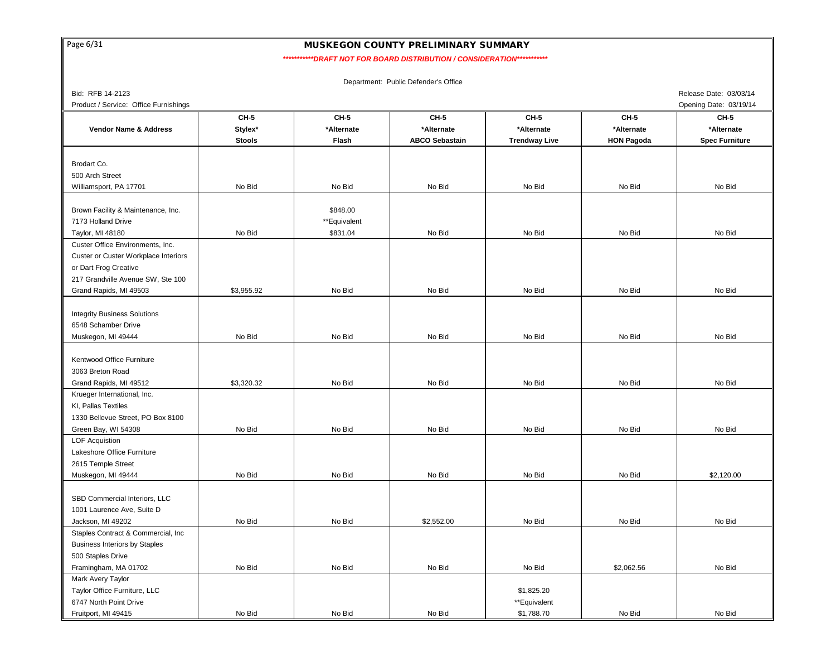Page 6/31

# MUSKEGON COUNTY PRELIMINARY SUMMARY

 *\*\*\*\*\*\*\*\*\*\*\*DRAFT NOT FOR BOARD DISTRIBUTION / CONSIDERATION\*\*\*\*\*\*\*\*\*\*\**

Department: Public Defender's Office

Product / Service: Office Furnishings **Opening Date: 03/19/14** Chening Date: 03/19/14

Bid: RFB 14-2123 Release Date: 03/03/14

|                                      | <b>CH-5</b>   | CH-5         | <b>CH-5</b>           | CH-5                 | CH-5              | CH-5                  |
|--------------------------------------|---------------|--------------|-----------------------|----------------------|-------------------|-----------------------|
| <b>Vendor Name &amp; Address</b>     | Stylex*       | *Alternate   | *Alternate            | *Alternate           | *Alternate        | *Alternate            |
|                                      | <b>Stools</b> | Flash        | <b>ABCO Sebastain</b> | <b>Trendway Live</b> | <b>HON Pagoda</b> | <b>Spec Furniture</b> |
|                                      |               |              |                       |                      |                   |                       |
| Brodart Co.                          |               |              |                       |                      |                   |                       |
| 500 Arch Street                      |               |              |                       |                      |                   |                       |
| Williamsport, PA 17701               | No Bid        | No Bid       | No Bid                | No Bid               | No Bid            | No Bid                |
|                                      |               |              |                       |                      |                   |                       |
| Brown Facility & Maintenance, Inc.   |               | \$848.00     |                       |                      |                   |                       |
| 7173 Holland Drive                   |               | **Equivalent |                       |                      |                   |                       |
| Taylor, MI 48180                     | No Bid        | \$831.04     | No Bid                | No Bid               | No Bid            | No Bid                |
| Custer Office Environments, Inc.     |               |              |                       |                      |                   |                       |
| Custer or Custer Workplace Interiors |               |              |                       |                      |                   |                       |
| or Dart Frog Creative                |               |              |                       |                      |                   |                       |
| 217 Grandville Avenue SW, Ste 100    |               |              |                       |                      |                   |                       |
| Grand Rapids, MI 49503               | \$3,955.92    | No Bid       | No Bid                | No Bid               | No Bid            | No Bid                |
|                                      |               |              |                       |                      |                   |                       |
| <b>Integrity Business Solutions</b>  |               |              |                       |                      |                   |                       |
| 6548 Schamber Drive                  |               |              |                       |                      |                   |                       |
| Muskegon, MI 49444                   | No Bid        | No Bid       | No Bid                | No Bid               | No Bid            | No Bid                |
|                                      |               |              |                       |                      |                   |                       |
| Kentwood Office Furniture            |               |              |                       |                      |                   |                       |
| 3063 Breton Road                     |               |              |                       |                      |                   |                       |
| Grand Rapids, MI 49512               | \$3,320.32    | No Bid       | No Bid                | No Bid               | No Bid            | No Bid                |
| Krueger International, Inc.          |               |              |                       |                      |                   |                       |
|                                      |               |              |                       |                      |                   |                       |
| KI, Pallas Textiles                  |               |              |                       |                      |                   |                       |
| 1330 Bellevue Street, PO Box 8100    | No Bid        | No Bid       | No Bid                | No Bid               | No Bid            | No Bid                |
| Green Bay, WI 54308                  |               |              |                       |                      |                   |                       |
| <b>LOF Acquistion</b>                |               |              |                       |                      |                   |                       |
| Lakeshore Office Furniture           |               |              |                       |                      |                   |                       |
| 2615 Temple Street                   |               |              |                       |                      |                   |                       |
| Muskegon, MI 49444                   | No Bid        | No Bid       | No Bid                | No Bid               | No Bid            | \$2,120.00            |
|                                      |               |              |                       |                      |                   |                       |
| SBD Commercial Interiors, LLC        |               |              |                       |                      |                   |                       |
| 1001 Laurence Ave, Suite D           |               |              |                       |                      |                   |                       |
| Jackson, MI 49202                    | No Bid        | No Bid       | \$2,552.00            | No Bid               | No Bid            | No Bid                |
| Staples Contract & Commercial, Inc.  |               |              |                       |                      |                   |                       |
| <b>Business Interiors by Staples</b> |               |              |                       |                      |                   |                       |
| 500 Staples Drive                    |               |              |                       |                      |                   |                       |
| Framingham, MA 01702                 | No Bid        | No Bid       | No Bid                | No Bid               | \$2,062.56        | No Bid                |
| Mark Avery Taylor                    |               |              |                       |                      |                   |                       |
| Taylor Office Furniture, LLC         |               |              |                       | \$1,825.20           |                   |                       |
| 6747 North Point Drive               |               |              |                       | **Equivalent         |                   |                       |
| Fruitport, MI 49415                  | No Bid        | No Bid       | No Bid                | \$1,788.70           | No Bid            | No Bid                |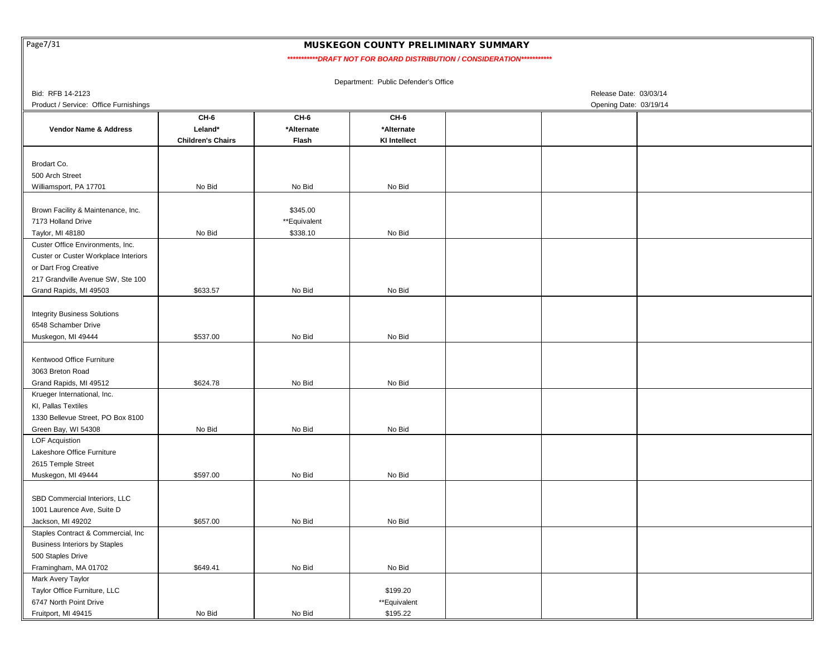Page7/31

### MUSKEGON COUNTY PRELIMINARY SUMMARY

 *\*\*\*\*\*\*\*\*\*\*\*DRAFT NOT FOR BOARD DISTRIBUTION / CONSIDERATION\*\*\*\*\*\*\*\*\*\*\**

| Bid: RFB 14-2123<br>Release Date: 03/03/14  |                          |              |                     |                        |  |  |  |  |  |  |
|---------------------------------------------|--------------------------|--------------|---------------------|------------------------|--|--|--|--|--|--|
| Product / Service: Office Furnishings       |                          |              |                     | Opening Date: 03/19/14 |  |  |  |  |  |  |
|                                             | CH-6                     | CH-6         | CH-6                |                        |  |  |  |  |  |  |
| Vendor Name & Address                       | Leland*                  | *Alternate   | *Alternate          |                        |  |  |  |  |  |  |
|                                             | <b>Children's Chairs</b> | Flash        | <b>KI Intellect</b> |                        |  |  |  |  |  |  |
|                                             |                          |              |                     |                        |  |  |  |  |  |  |
| Brodart Co.                                 |                          |              |                     |                        |  |  |  |  |  |  |
| 500 Arch Street                             |                          |              |                     |                        |  |  |  |  |  |  |
| Williamsport, PA 17701                      | No Bid                   | No Bid       | No Bid              |                        |  |  |  |  |  |  |
|                                             |                          |              |                     |                        |  |  |  |  |  |  |
| Brown Facility & Maintenance, Inc.          |                          | \$345.00     |                     |                        |  |  |  |  |  |  |
| 7173 Holland Drive                          |                          | **Equivalent |                     |                        |  |  |  |  |  |  |
| Taylor, MI 48180                            | No Bid                   | \$338.10     | No Bid              |                        |  |  |  |  |  |  |
| Custer Office Environments, Inc.            |                          |              |                     |                        |  |  |  |  |  |  |
| <b>Custer or Custer Workplace Interiors</b> |                          |              |                     |                        |  |  |  |  |  |  |
| or Dart Frog Creative                       |                          |              |                     |                        |  |  |  |  |  |  |
|                                             |                          |              |                     |                        |  |  |  |  |  |  |
| 217 Grandville Avenue SW, Ste 100           |                          |              |                     |                        |  |  |  |  |  |  |
| Grand Rapids, MI 49503                      | \$633.57                 | No Bid       | No Bid              |                        |  |  |  |  |  |  |
|                                             |                          |              |                     |                        |  |  |  |  |  |  |
| <b>Integrity Business Solutions</b>         |                          |              |                     |                        |  |  |  |  |  |  |
| 6548 Schamber Drive                         |                          |              |                     |                        |  |  |  |  |  |  |
| Muskegon, MI 49444                          | \$537.00                 | No Bid       | No Bid              |                        |  |  |  |  |  |  |
|                                             |                          |              |                     |                        |  |  |  |  |  |  |
| Kentwood Office Furniture                   |                          |              |                     |                        |  |  |  |  |  |  |
| 3063 Breton Road                            |                          |              |                     |                        |  |  |  |  |  |  |
| Grand Rapids, MI 49512                      | \$624.78                 | No Bid       | No Bid              |                        |  |  |  |  |  |  |
| Krueger International, Inc.                 |                          |              |                     |                        |  |  |  |  |  |  |
| KI, Pallas Textiles                         |                          |              |                     |                        |  |  |  |  |  |  |
| 1330 Bellevue Street, PO Box 8100           |                          |              |                     |                        |  |  |  |  |  |  |
| Green Bay, WI 54308                         | No Bid                   | No Bid       | No Bid              |                        |  |  |  |  |  |  |
| <b>LOF Acquistion</b>                       |                          |              |                     |                        |  |  |  |  |  |  |
| Lakeshore Office Furniture                  |                          |              |                     |                        |  |  |  |  |  |  |
| 2615 Temple Street                          |                          |              |                     |                        |  |  |  |  |  |  |
| Muskegon, MI 49444                          | \$597.00                 | No Bid       | No Bid              |                        |  |  |  |  |  |  |
|                                             |                          |              |                     |                        |  |  |  |  |  |  |
| SBD Commercial Interiors, LLC               |                          |              |                     |                        |  |  |  |  |  |  |
| 1001 Laurence Ave, Suite D                  |                          |              |                     |                        |  |  |  |  |  |  |
| Jackson, MI 49202                           | \$657.00                 | No Bid       | No Bid              |                        |  |  |  |  |  |  |
| Staples Contract & Commercial, Inc          |                          |              |                     |                        |  |  |  |  |  |  |
| <b>Business Interiors by Staples</b>        |                          |              |                     |                        |  |  |  |  |  |  |
| 500 Staples Drive                           |                          |              |                     |                        |  |  |  |  |  |  |
| Framingham, MA 01702                        | \$649.41                 | No Bid       | No Bid              |                        |  |  |  |  |  |  |
|                                             |                          |              |                     |                        |  |  |  |  |  |  |
| Mark Avery Taylor                           |                          |              |                     |                        |  |  |  |  |  |  |
| Taylor Office Furniture, LLC                |                          |              | \$199.20            |                        |  |  |  |  |  |  |
| 6747 North Point Drive                      |                          |              | **Equivalent        |                        |  |  |  |  |  |  |
| Fruitport, MI 49415                         | No Bid                   | No Bid       | \$195.22            |                        |  |  |  |  |  |  |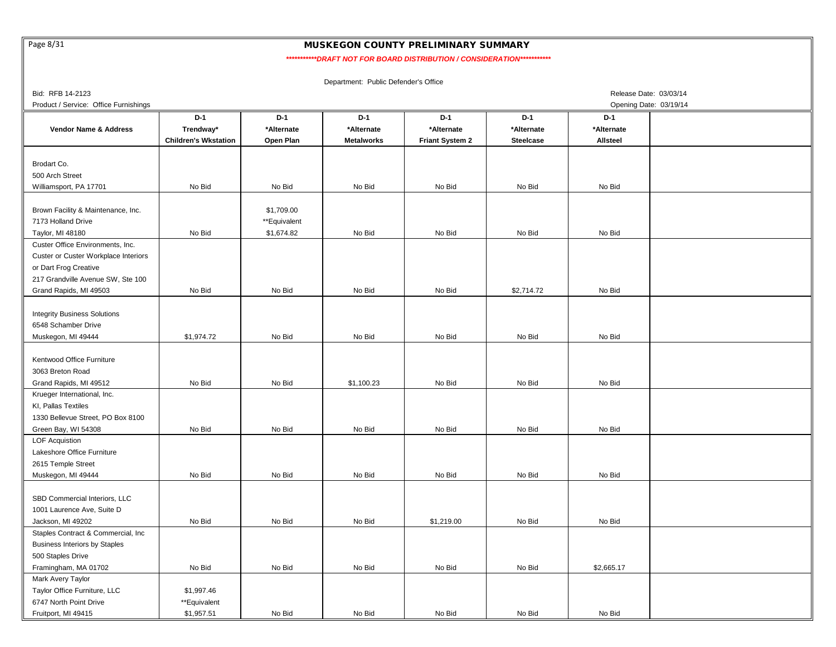Page 8/31

## MUSKEGON COUNTY PRELIMINARY SUMMARY

 *\*\*\*\*\*\*\*\*\*\*\*DRAFT NOT FOR BOARD DISTRIBUTION / CONSIDERATION\*\*\*\*\*\*\*\*\*\*\**

| Bid: RFB 14-2123                      |                             |              |                   |                 |                  | Release Date: 03/03/14 |  |
|---------------------------------------|-----------------------------|--------------|-------------------|-----------------|------------------|------------------------|--|
| Product / Service: Office Furnishings |                             |              |                   |                 |                  | Opening Date: 03/19/14 |  |
|                                       | D-1                         | $D-1$        | $D-1$             | $D-1$           | $D-1$            | $D-1$                  |  |
| <b>Vendor Name &amp; Address</b>      | Trendway*                   | *Alternate   | *Alternate        | *Alternate      | *Alternate       | *Alternate             |  |
|                                       | <b>Children's Wkstation</b> | Open Plan    | <b>Metalworks</b> | Friant System 2 | <b>Steelcase</b> | <b>Allsteel</b>        |  |
|                                       |                             |              |                   |                 |                  |                        |  |
| Brodart Co.                           |                             |              |                   |                 |                  |                        |  |
| 500 Arch Street                       |                             |              |                   |                 |                  |                        |  |
| Williamsport, PA 17701                | No Bid                      | No Bid       | No Bid            | No Bid          | No Bid           | No Bid                 |  |
|                                       |                             |              |                   |                 |                  |                        |  |
|                                       |                             | \$1,709.00   |                   |                 |                  |                        |  |
| Brown Facility & Maintenance, Inc.    |                             |              |                   |                 |                  |                        |  |
| 7173 Holland Drive                    |                             | **Equivalent |                   |                 |                  |                        |  |
| Taylor, MI 48180                      | No Bid                      | \$1,674.82   | No Bid            | No Bid          | No Bid           | No Bid                 |  |
| Custer Office Environments, Inc.      |                             |              |                   |                 |                  |                        |  |
| Custer or Custer Workplace Interiors  |                             |              |                   |                 |                  |                        |  |
| or Dart Frog Creative                 |                             |              |                   |                 |                  |                        |  |
| 217 Grandville Avenue SW, Ste 100     |                             |              |                   |                 |                  |                        |  |
| Grand Rapids, MI 49503                | No Bid                      | No Bid       | No Bid            | No Bid          | \$2,714.72       | No Bid                 |  |
|                                       |                             |              |                   |                 |                  |                        |  |
| <b>Integrity Business Solutions</b>   |                             |              |                   |                 |                  |                        |  |
| 6548 Schamber Drive                   |                             |              |                   |                 |                  |                        |  |
| Muskegon, MI 49444                    | \$1,974.72                  | No Bid       | No Bid            | No Bid          | No Bid           | No Bid                 |  |
|                                       |                             |              |                   |                 |                  |                        |  |
| Kentwood Office Furniture             |                             |              |                   |                 |                  |                        |  |
| 3063 Breton Road                      |                             |              |                   |                 |                  |                        |  |
| Grand Rapids, MI 49512                | No Bid                      | No Bid       | \$1,100.23        | No Bid          | No Bid           | No Bid                 |  |
| Krueger International, Inc.           |                             |              |                   |                 |                  |                        |  |
| KI, Pallas Textiles                   |                             |              |                   |                 |                  |                        |  |
| 1330 Bellevue Street, PO Box 8100     |                             |              |                   |                 |                  |                        |  |
| Green Bay, WI 54308                   | No Bid                      | No Bid       | No Bid            | No Bid          | No Bid           | No Bid                 |  |
| <b>LOF Acquistion</b>                 |                             |              |                   |                 |                  |                        |  |
| Lakeshore Office Furniture            |                             |              |                   |                 |                  |                        |  |
| 2615 Temple Street                    |                             |              |                   |                 |                  |                        |  |
| Muskegon, MI 49444                    | No Bid                      | No Bid       | No Bid            | No Bid          | No Bid           | No Bid                 |  |
|                                       |                             |              |                   |                 |                  |                        |  |
| SBD Commercial Interiors, LLC         |                             |              |                   |                 |                  |                        |  |
| 1001 Laurence Ave, Suite D            |                             |              |                   |                 |                  |                        |  |
| Jackson, MI 49202                     | No Bid                      | No Bid       | No Bid            | \$1,219.00      | No Bid           | No Bid                 |  |
| Staples Contract & Commercial, Inc.   |                             |              |                   |                 |                  |                        |  |
| <b>Business Interiors by Staples</b>  |                             |              |                   |                 |                  |                        |  |
| 500 Staples Drive                     |                             |              |                   |                 |                  |                        |  |
|                                       | No Bid                      | No Bid       | No Bid            | No Bid          | No Bid           | \$2,665.17             |  |
| Framingham, MA 01702                  |                             |              |                   |                 |                  |                        |  |
| Mark Avery Taylor                     |                             |              |                   |                 |                  |                        |  |
| Taylor Office Furniture, LLC          | \$1,997.46                  |              |                   |                 |                  |                        |  |
| 6747 North Point Drive                | **Equivalent                |              |                   |                 |                  |                        |  |
| Fruitport, MI 49415                   | \$1,957.51                  | No Bid       | No Bid            | No Bid          | No Bid           | No Bid                 |  |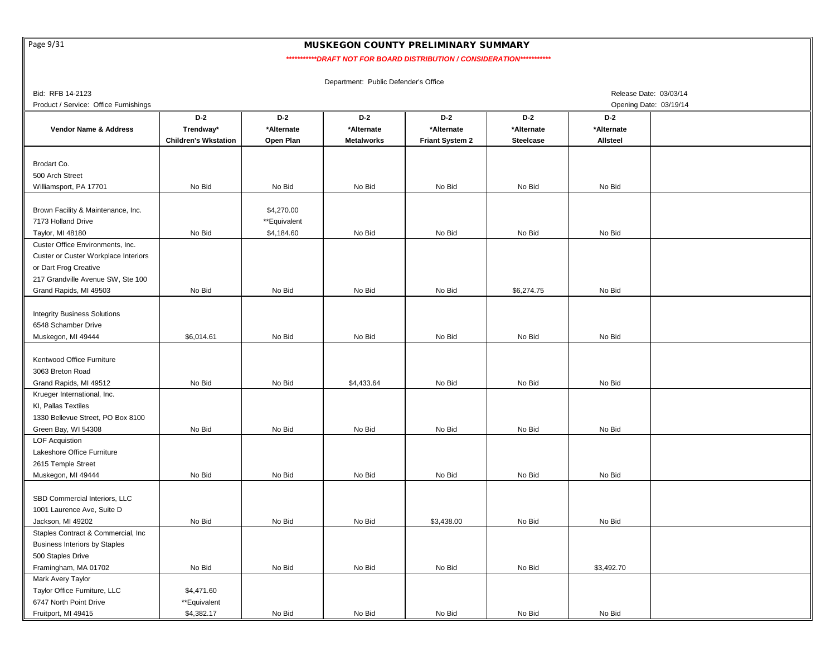Page 9/31

# MUSKEGON COUNTY PRELIMINARY SUMMARY

 *\*\*\*\*\*\*\*\*\*\*\*DRAFT NOT FOR BOARD DISTRIBUTION / CONSIDERATION\*\*\*\*\*\*\*\*\*\*\**

| Bid: RFB 14-2123                      |                             |              |                   |                 |                  | Release Date: 03/03/14 |  |
|---------------------------------------|-----------------------------|--------------|-------------------|-----------------|------------------|------------------------|--|
| Product / Service: Office Furnishings |                             |              |                   |                 |                  | Opening Date: 03/19/14 |  |
|                                       | $D-2$                       | $D-2$        | $D-2$             | $D-2$           | $D-2$            | $D-2$                  |  |
| Vendor Name & Address                 | Trendway*                   | *Alternate   | *Alternate        | *Alternate      | *Alternate       | *Alternate             |  |
|                                       | <b>Children's Wkstation</b> | Open Plan    | <b>Metalworks</b> | Friant System 2 | <b>Steelcase</b> | Allsteel               |  |
|                                       |                             |              |                   |                 |                  |                        |  |
| Brodart Co.                           |                             |              |                   |                 |                  |                        |  |
| 500 Arch Street                       |                             |              |                   |                 |                  |                        |  |
| Williamsport, PA 17701                | No Bid                      | No Bid       | No Bid            | No Bid          | No Bid           | No Bid                 |  |
|                                       |                             |              |                   |                 |                  |                        |  |
| Brown Facility & Maintenance, Inc.    |                             | \$4,270.00   |                   |                 |                  |                        |  |
| 7173 Holland Drive                    |                             | **Equivalent |                   |                 |                  |                        |  |
|                                       | No Bid                      |              | No Bid            | No Bid          | No Bid           | No Bid                 |  |
| Taylor, MI 48180                      |                             | \$4,184.60   |                   |                 |                  |                        |  |
| Custer Office Environments, Inc.      |                             |              |                   |                 |                  |                        |  |
| Custer or Custer Workplace Interiors  |                             |              |                   |                 |                  |                        |  |
| or Dart Frog Creative                 |                             |              |                   |                 |                  |                        |  |
| 217 Grandville Avenue SW, Ste 100     |                             |              |                   |                 |                  |                        |  |
| Grand Rapids, MI 49503                | No Bid                      | No Bid       | No Bid            | No Bid          | \$6,274.75       | No Bid                 |  |
|                                       |                             |              |                   |                 |                  |                        |  |
| <b>Integrity Business Solutions</b>   |                             |              |                   |                 |                  |                        |  |
| 6548 Schamber Drive                   |                             |              |                   |                 |                  |                        |  |
| Muskegon, MI 49444                    | \$6,014.61                  | No Bid       | No Bid            | No Bid          | No Bid           | No Bid                 |  |
|                                       |                             |              |                   |                 |                  |                        |  |
| Kentwood Office Furniture             |                             |              |                   |                 |                  |                        |  |
| 3063 Breton Road                      |                             |              |                   |                 |                  |                        |  |
| Grand Rapids, MI 49512                | No Bid                      | No Bid       | \$4,433.64        | No Bid          | No Bid           | No Bid                 |  |
| Krueger International, Inc.           |                             |              |                   |                 |                  |                        |  |
| KI, Pallas Textiles                   |                             |              |                   |                 |                  |                        |  |
| 1330 Bellevue Street, PO Box 8100     |                             |              |                   |                 |                  |                        |  |
| Green Bay, WI 54308                   | No Bid                      | No Bid       | No Bid            | No Bid          | No Bid           | No Bid                 |  |
| <b>LOF Acquistion</b>                 |                             |              |                   |                 |                  |                        |  |
| Lakeshore Office Furniture            |                             |              |                   |                 |                  |                        |  |
| 2615 Temple Street                    |                             |              |                   |                 |                  |                        |  |
| Muskegon, MI 49444                    | No Bid                      | No Bid       | No Bid            | No Bid          | No Bid           | No Bid                 |  |
|                                       |                             |              |                   |                 |                  |                        |  |
| SBD Commercial Interiors, LLC         |                             |              |                   |                 |                  |                        |  |
|                                       |                             |              |                   |                 |                  |                        |  |
| 1001 Laurence Ave, Suite D            |                             |              |                   |                 |                  |                        |  |
| Jackson, MI 49202                     | No Bid                      | No Bid       | No Bid            | \$3,438.00      | No Bid           | No Bid                 |  |
| Staples Contract & Commercial, Inc.   |                             |              |                   |                 |                  |                        |  |
| <b>Business Interiors by Staples</b>  |                             |              |                   |                 |                  |                        |  |
| 500 Staples Drive                     |                             |              |                   |                 |                  |                        |  |
| Framingham, MA 01702                  | No Bid                      | No Bid       | No Bid            | No Bid          | No Bid           | \$3,492.70             |  |
| Mark Avery Taylor                     |                             |              |                   |                 |                  |                        |  |
| Taylor Office Furniture, LLC          | \$4,471.60                  |              |                   |                 |                  |                        |  |
| 6747 North Point Drive                | **Equivalent                |              |                   |                 |                  |                        |  |
| Fruitport, MI 49415                   | \$4,382.17                  | No Bid       | No Bid            | No Bid          | No Bid           | No Bid                 |  |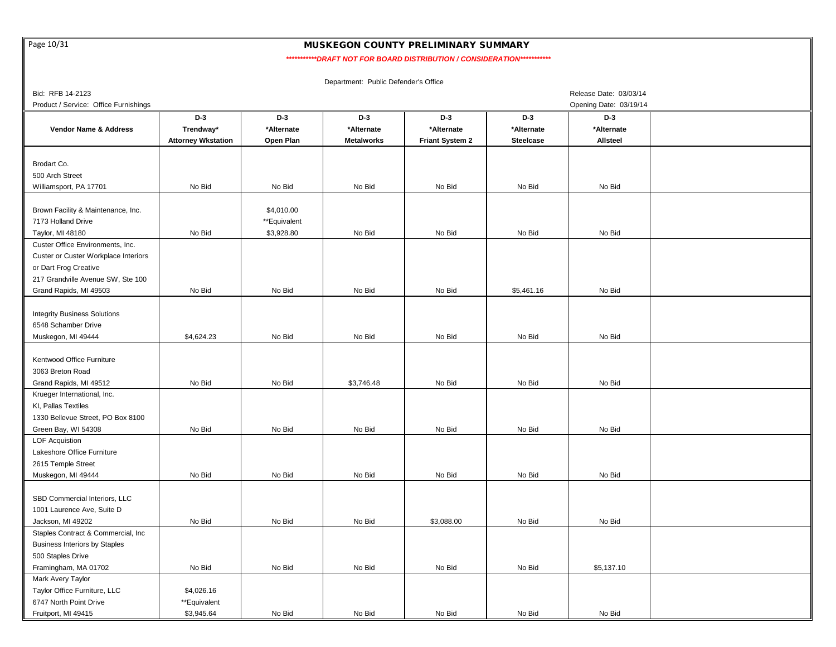Page 10/31

### MUSKEGON COUNTY PRELIMINARY SUMMARY

 *\*\*\*\*\*\*\*\*\*\*\*DRAFT NOT FOR BOARD DISTRIBUTION / CONSIDERATION\*\*\*\*\*\*\*\*\*\*\**

| Bid: RFB 14-2123                      |                           |              |                   |                        |                  | Release Date: 03/03/14 |  |
|---------------------------------------|---------------------------|--------------|-------------------|------------------------|------------------|------------------------|--|
| Product / Service: Office Furnishings |                           |              |                   |                        |                  | Opening Date: 03/19/14 |  |
|                                       | $D-3$                     | $D-3$        | $D-3$             | $D-3$                  | $D-3$            | $D-3$                  |  |
| Vendor Name & Address                 | Trendway*                 | *Alternate   | *Alternate        | *Alternate             | *Alternate       | *Alternate             |  |
|                                       | <b>Attorney Wkstation</b> | Open Plan    | <b>Metalworks</b> | <b>Friant System 2</b> | <b>Steelcase</b> | <b>Allsteel</b>        |  |
|                                       |                           |              |                   |                        |                  |                        |  |
| Brodart Co.                           |                           |              |                   |                        |                  |                        |  |
| 500 Arch Street                       |                           |              |                   |                        |                  |                        |  |
| Williamsport, PA 17701                | No Bid                    | No Bid       | No Bid            | No Bid                 | No Bid           | No Bid                 |  |
|                                       |                           |              |                   |                        |                  |                        |  |
| Brown Facility & Maintenance, Inc.    |                           | \$4,010.00   |                   |                        |                  |                        |  |
| 7173 Holland Drive                    |                           | **Equivalent |                   |                        |                  |                        |  |
| Taylor, MI 48180                      | No Bid                    | \$3,928.80   | No Bid            | No Bid                 | No Bid           | No Bid                 |  |
| Custer Office Environments, Inc.      |                           |              |                   |                        |                  |                        |  |
| Custer or Custer Workplace Interiors  |                           |              |                   |                        |                  |                        |  |
| or Dart Frog Creative                 |                           |              |                   |                        |                  |                        |  |
| 217 Grandville Avenue SW, Ste 100     |                           |              |                   |                        |                  |                        |  |
|                                       | No Bid                    | No Bid       | No Bid            | No Bid                 |                  | No Bid                 |  |
| Grand Rapids, MI 49503                |                           |              |                   |                        | \$5,461.16       |                        |  |
|                                       |                           |              |                   |                        |                  |                        |  |
| <b>Integrity Business Solutions</b>   |                           |              |                   |                        |                  |                        |  |
| 6548 Schamber Drive                   |                           |              |                   |                        |                  |                        |  |
| Muskegon, MI 49444                    | \$4,624.23                | No Bid       | No Bid            | No Bid                 | No Bid           | No Bid                 |  |
|                                       |                           |              |                   |                        |                  |                        |  |
| Kentwood Office Furniture             |                           |              |                   |                        |                  |                        |  |
| 3063 Breton Road                      |                           |              |                   |                        |                  |                        |  |
| Grand Rapids, MI 49512                | No Bid                    | No Bid       | \$3,746.48        | No Bid                 | No Bid           | No Bid                 |  |
| Krueger International, Inc.           |                           |              |                   |                        |                  |                        |  |
| KI, Pallas Textiles                   |                           |              |                   |                        |                  |                        |  |
| 1330 Bellevue Street, PO Box 8100     |                           |              |                   |                        |                  |                        |  |
| Green Bay, WI 54308                   | No Bid                    | No Bid       | No Bid            | No Bid                 | No Bid           | No Bid                 |  |
| <b>LOF Acquistion</b>                 |                           |              |                   |                        |                  |                        |  |
| Lakeshore Office Furniture            |                           |              |                   |                        |                  |                        |  |
| 2615 Temple Street                    |                           |              |                   |                        |                  |                        |  |
| Muskegon, MI 49444                    | No Bid                    | No Bid       | No Bid            | No Bid                 | No Bid           | No Bid                 |  |
|                                       |                           |              |                   |                        |                  |                        |  |
| SBD Commercial Interiors, LLC         |                           |              |                   |                        |                  |                        |  |
| 1001 Laurence Ave, Suite D            |                           |              |                   |                        |                  |                        |  |
| Jackson, MI 49202                     | No Bid                    | No Bid       | No Bid            | \$3,088.00             | No Bid           | No Bid                 |  |
| Staples Contract & Commercial, Inc.   |                           |              |                   |                        |                  |                        |  |
| <b>Business Interiors by Staples</b>  |                           |              |                   |                        |                  |                        |  |
| 500 Staples Drive                     |                           |              |                   |                        |                  |                        |  |
| Framingham, MA 01702                  | No Bid                    | No Bid       | No Bid            | No Bid                 | No Bid           | \$5,137.10             |  |
| Mark Avery Taylor                     |                           |              |                   |                        |                  |                        |  |
| Taylor Office Furniture, LLC          | \$4,026.16                |              |                   |                        |                  |                        |  |
| 6747 North Point Drive                | **Equivalent              |              |                   |                        |                  |                        |  |
| Fruitport, MI 49415                   | \$3,945.64                | No Bid       | No Bid            | No Bid                 | No Bid           | No Bid                 |  |
|                                       |                           |              |                   |                        |                  |                        |  |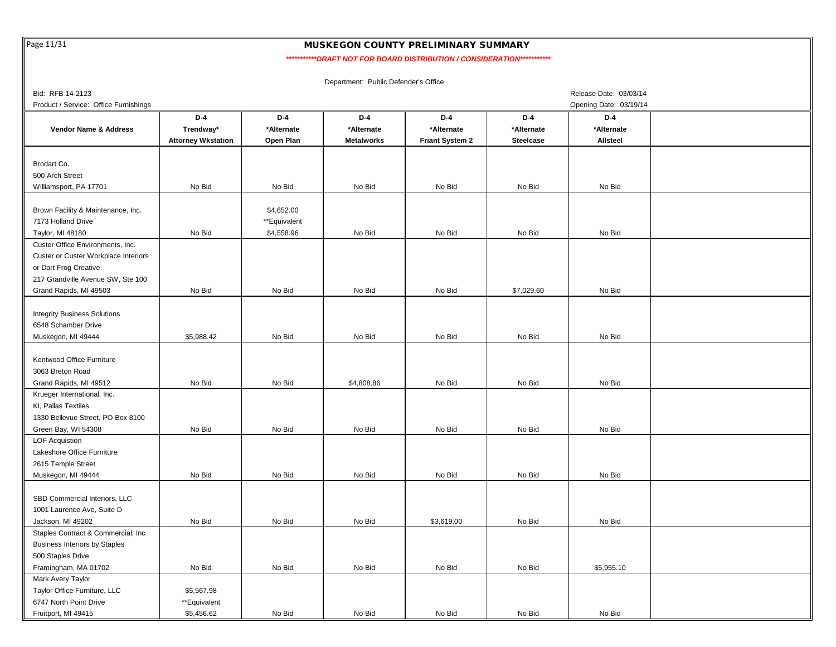Page 11/31

## MUSKEGON COUNTY PRELIMINARY SUMMARY

 *\*\*\*\*\*\*\*\*\*\*\*DRAFT NOT FOR BOARD DISTRIBUTION / CONSIDERATION\*\*\*\*\*\*\*\*\*\*\**

| Bid: RFB 14-2123                      | Release Date: 03/03/14    |              |                   |                        |                  |                        |  |  |  |  |
|---------------------------------------|---------------------------|--------------|-------------------|------------------------|------------------|------------------------|--|--|--|--|
| Product / Service: Office Furnishings |                           |              |                   |                        |                  | Opening Date: 03/19/14 |  |  |  |  |
|                                       | D-4                       | $D-4$        | $D-4$             | $D-4$                  | $D-4$            | D-4                    |  |  |  |  |
| Vendor Name & Address                 | Trendway*                 | *Alternate   | *Alternate        | *Alternate             | *Alternate       | *Alternate             |  |  |  |  |
|                                       | <b>Attorney Wkstation</b> | Open Plan    | <b>Metalworks</b> | <b>Friant System 2</b> | <b>Steelcase</b> | Allsteel               |  |  |  |  |
|                                       |                           |              |                   |                        |                  |                        |  |  |  |  |
| Brodart Co.                           |                           |              |                   |                        |                  |                        |  |  |  |  |
| 500 Arch Street                       |                           |              |                   |                        |                  |                        |  |  |  |  |
| Williamsport, PA 17701                | No Bid                    | No Bid       | No Bid            | No Bid                 | No Bid           | No Bid                 |  |  |  |  |
|                                       |                           |              |                   |                        |                  |                        |  |  |  |  |
| Brown Facility & Maintenance, Inc.    |                           | \$4,652.00   |                   |                        |                  |                        |  |  |  |  |
| 7173 Holland Drive                    |                           | **Equivalent |                   |                        |                  |                        |  |  |  |  |
| Taylor, MI 48180                      | No Bid                    | \$4,558.96   | No Bid            | No Bid                 | No Bid           | No Bid                 |  |  |  |  |
| Custer Office Environments, Inc.      |                           |              |                   |                        |                  |                        |  |  |  |  |
| Custer or Custer Workplace Interiors  |                           |              |                   |                        |                  |                        |  |  |  |  |
| or Dart Frog Creative                 |                           |              |                   |                        |                  |                        |  |  |  |  |
| 217 Grandville Avenue SW, Ste 100     |                           |              |                   |                        |                  |                        |  |  |  |  |
| Grand Rapids, MI 49503                | No Bid                    | No Bid       | No Bid            | No Bid                 | \$7,029.60       | No Bid                 |  |  |  |  |
|                                       |                           |              |                   |                        |                  |                        |  |  |  |  |
| <b>Integrity Business Solutions</b>   |                           |              |                   |                        |                  |                        |  |  |  |  |
| 6548 Schamber Drive                   |                           |              |                   |                        |                  |                        |  |  |  |  |
| Muskegon, MI 49444                    | \$5,988.42                | No Bid       | No Bid            | No Bid                 | No Bid           | No Bid                 |  |  |  |  |
|                                       |                           |              |                   |                        |                  |                        |  |  |  |  |
| Kentwood Office Furniture             |                           |              |                   |                        |                  |                        |  |  |  |  |
| 3063 Breton Road                      |                           |              |                   |                        |                  |                        |  |  |  |  |
| Grand Rapids, MI 49512                | No Bid                    | No Bid       | \$4,808.86        | No Bid                 | No Bid           | No Bid                 |  |  |  |  |
| Krueger International, Inc.           |                           |              |                   |                        |                  |                        |  |  |  |  |
| KI, Pallas Textiles                   |                           |              |                   |                        |                  |                        |  |  |  |  |
| 1330 Bellevue Street, PO Box 8100     |                           |              |                   |                        |                  |                        |  |  |  |  |
| Green Bay, WI 54308                   | No Bid                    | No Bid       | No Bid            | No Bid                 | No Bid           | No Bid                 |  |  |  |  |
| <b>LOF Acquistion</b>                 |                           |              |                   |                        |                  |                        |  |  |  |  |
| Lakeshore Office Furniture            |                           |              |                   |                        |                  |                        |  |  |  |  |
| 2615 Temple Street                    |                           |              |                   |                        |                  |                        |  |  |  |  |
| Muskegon, MI 49444                    | No Bid                    | No Bid       | No Bid            | No Bid                 | No Bid           | No Bid                 |  |  |  |  |
|                                       |                           |              |                   |                        |                  |                        |  |  |  |  |
| SBD Commercial Interiors, LLC         |                           |              |                   |                        |                  |                        |  |  |  |  |
| 1001 Laurence Ave, Suite D            |                           |              |                   |                        |                  |                        |  |  |  |  |
| Jackson, MI 49202                     | No Bid                    | No Bid       | No Bid            | \$3,619.00             | No Bid           | No Bid                 |  |  |  |  |
| Staples Contract & Commercial, Inc    |                           |              |                   |                        |                  |                        |  |  |  |  |
| <b>Business Interiors by Staples</b>  |                           |              |                   |                        |                  |                        |  |  |  |  |
| 500 Staples Drive                     |                           |              |                   |                        |                  |                        |  |  |  |  |
| Framingham, MA 01702                  | No Bid                    | No Bid       | No Bid            | No Bid                 | No Bid           | \$5,955.10             |  |  |  |  |
| Mark Avery Taylor                     |                           |              |                   |                        |                  |                        |  |  |  |  |
| Taylor Office Furniture, LLC          | \$5,567.98                |              |                   |                        |                  |                        |  |  |  |  |
| 6747 North Point Drive                | **Equivalent              |              |                   |                        |                  |                        |  |  |  |  |
| Fruitport, MI 49415                   | \$5,456.62                | No Bid       | No Bid            | No Bid                 | No Bid           | No Bid                 |  |  |  |  |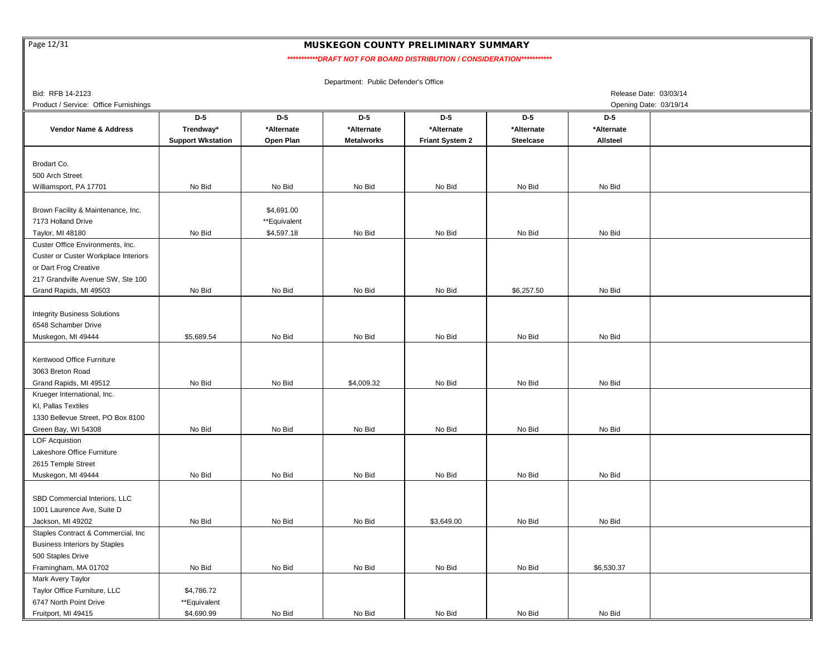Page 12/31

## MUSKEGON COUNTY PRELIMINARY SUMMARY

 *\*\*\*\*\*\*\*\*\*\*\*DRAFT NOT FOR BOARD DISTRIBUTION / CONSIDERATION\*\*\*\*\*\*\*\*\*\*\**

| Bid: RFB 14-2123<br>Release Date: 03/03/14 |                          |              |                   |                        |                  |                        |  |  |  |
|--------------------------------------------|--------------------------|--------------|-------------------|------------------------|------------------|------------------------|--|--|--|
| Product / Service: Office Furnishings      |                          |              |                   |                        |                  | Opening Date: 03/19/14 |  |  |  |
|                                            | $D-5$                    | $D-5$        | $D-5$             | $D-5$                  | $D-5$            | $D-5$                  |  |  |  |
| Vendor Name & Address                      | Trendway*                | *Alternate   | *Alternate        | *Alternate             | *Alternate       | *Alternate             |  |  |  |
|                                            | <b>Support Wkstation</b> | Open Plan    | <b>Metalworks</b> | <b>Friant System 2</b> | <b>Steelcase</b> | <b>Allsteel</b>        |  |  |  |
|                                            |                          |              |                   |                        |                  |                        |  |  |  |
| Brodart Co.                                |                          |              |                   |                        |                  |                        |  |  |  |
| 500 Arch Street                            |                          |              |                   |                        |                  |                        |  |  |  |
| Williamsport, PA 17701                     | No Bid                   | No Bid       | No Bid            | No Bid                 | No Bid           | No Bid                 |  |  |  |
|                                            |                          |              |                   |                        |                  |                        |  |  |  |
| Brown Facility & Maintenance, Inc.         |                          | \$4,691.00   |                   |                        |                  |                        |  |  |  |
| 7173 Holland Drive                         |                          | **Equivalent |                   |                        |                  |                        |  |  |  |
| Taylor, MI 48180                           | No Bid                   | \$4,597.18   | No Bid            | No Bid                 | No Bid           | No Bid                 |  |  |  |
| Custer Office Environments, Inc.           |                          |              |                   |                        |                  |                        |  |  |  |
| Custer or Custer Workplace Interiors       |                          |              |                   |                        |                  |                        |  |  |  |
| or Dart Frog Creative                      |                          |              |                   |                        |                  |                        |  |  |  |
| 217 Grandville Avenue SW, Ste 100          |                          |              |                   |                        |                  |                        |  |  |  |
| Grand Rapids, MI 49503                     | No Bid                   | No Bid       | No Bid            | No Bid                 | \$6,257.50       | No Bid                 |  |  |  |
|                                            |                          |              |                   |                        |                  |                        |  |  |  |
|                                            |                          |              |                   |                        |                  |                        |  |  |  |
| <b>Integrity Business Solutions</b>        |                          |              |                   |                        |                  |                        |  |  |  |
| 6548 Schamber Drive                        |                          |              |                   |                        |                  |                        |  |  |  |
| Muskegon, MI 49444                         | \$5,689.54               | No Bid       | No Bid            | No Bid                 | No Bid           | No Bid                 |  |  |  |
|                                            |                          |              |                   |                        |                  |                        |  |  |  |
| Kentwood Office Furniture                  |                          |              |                   |                        |                  |                        |  |  |  |
| 3063 Breton Road                           |                          |              |                   |                        |                  |                        |  |  |  |
| Grand Rapids, MI 49512                     | No Bid                   | No Bid       | \$4,009.32        | No Bid                 | No Bid           | No Bid                 |  |  |  |
| Krueger International, Inc.                |                          |              |                   |                        |                  |                        |  |  |  |
| KI, Pallas Textiles                        |                          |              |                   |                        |                  |                        |  |  |  |
| 1330 Bellevue Street, PO Box 8100          |                          |              |                   |                        |                  |                        |  |  |  |
| Green Bay, WI 54308                        | No Bid                   | No Bid       | No Bid            | No Bid                 | No Bid           | No Bid                 |  |  |  |
| <b>LOF Acquistion</b>                      |                          |              |                   |                        |                  |                        |  |  |  |
| Lakeshore Office Furniture                 |                          |              |                   |                        |                  |                        |  |  |  |
| 2615 Temple Street                         |                          |              |                   |                        |                  |                        |  |  |  |
| Muskegon, MI 49444                         | No Bid                   | No Bid       | No Bid            | No Bid                 | No Bid           | No Bid                 |  |  |  |
|                                            |                          |              |                   |                        |                  |                        |  |  |  |
| SBD Commercial Interiors, LLC              |                          |              |                   |                        |                  |                        |  |  |  |
| 1001 Laurence Ave, Suite D                 |                          |              |                   |                        |                  |                        |  |  |  |
| Jackson, MI 49202                          | No Bid                   | No Bid       | No Bid            | \$3,649.00             | No Bid           | No Bid                 |  |  |  |
| Staples Contract & Commercial, Inc         |                          |              |                   |                        |                  |                        |  |  |  |
| <b>Business Interiors by Staples</b>       |                          |              |                   |                        |                  |                        |  |  |  |
| 500 Staples Drive                          |                          |              |                   |                        |                  |                        |  |  |  |
| Framingham, MA 01702                       | No Bid                   | No Bid       | No Bid            | No Bid                 | No Bid           | \$6,530.37             |  |  |  |
| Mark Avery Taylor                          |                          |              |                   |                        |                  |                        |  |  |  |
| Taylor Office Furniture, LLC               | \$4,786.72               |              |                   |                        |                  |                        |  |  |  |
| 6747 North Point Drive                     | **Equivalent             |              |                   |                        |                  |                        |  |  |  |
| Fruitport, MI 49415                        | \$4,690.99               | No Bid       | No Bid            | No Bid                 | No Bid           | No Bid                 |  |  |  |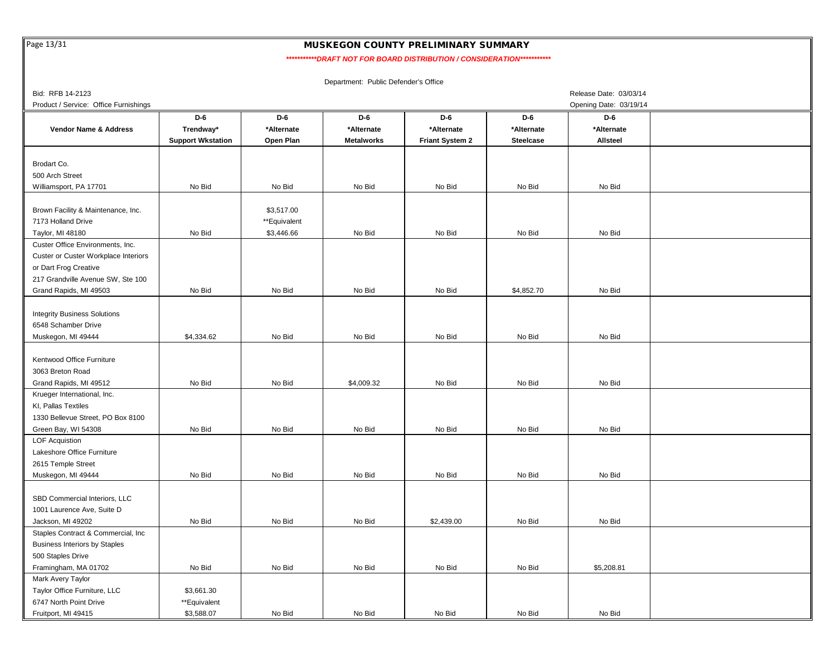Page 13/31

## MUSKEGON COUNTY PRELIMINARY SUMMARY

 *\*\*\*\*\*\*\*\*\*\*\*DRAFT NOT FOR BOARD DISTRIBUTION / CONSIDERATION\*\*\*\*\*\*\*\*\*\*\**

| Bid: RFB 14-2123                      |                          |              |                   |                        |                  | Release Date: 03/03/14 |  |
|---------------------------------------|--------------------------|--------------|-------------------|------------------------|------------------|------------------------|--|
| Product / Service: Office Furnishings |                          |              |                   |                        |                  | Opening Date: 03/19/14 |  |
|                                       | D-6                      | D-6          | D-6               | D-6                    | D-6              | D-6                    |  |
| Vendor Name & Address                 | Trendway*                | *Alternate   | *Alternate        | *Alternate             | *Alternate       | *Alternate             |  |
|                                       | <b>Support Wkstation</b> | Open Plan    | <b>Metalworks</b> | <b>Friant System 2</b> | <b>Steelcase</b> | <b>Allsteel</b>        |  |
|                                       |                          |              |                   |                        |                  |                        |  |
| Brodart Co.                           |                          |              |                   |                        |                  |                        |  |
| 500 Arch Street                       |                          |              |                   |                        |                  |                        |  |
| Williamsport, PA 17701                | No Bid                   | No Bid       | No Bid            | No Bid                 | No Bid           | No Bid                 |  |
|                                       |                          |              |                   |                        |                  |                        |  |
| Brown Facility & Maintenance, Inc.    |                          | \$3,517.00   |                   |                        |                  |                        |  |
| 7173 Holland Drive                    |                          | **Equivalent |                   |                        |                  |                        |  |
| Taylor, MI 48180                      | No Bid                   | \$3,446.66   | No Bid            | No Bid                 | No Bid           | No Bid                 |  |
| Custer Office Environments, Inc.      |                          |              |                   |                        |                  |                        |  |
| Custer or Custer Workplace Interiors  |                          |              |                   |                        |                  |                        |  |
| or Dart Frog Creative                 |                          |              |                   |                        |                  |                        |  |
| 217 Grandville Avenue SW, Ste 100     |                          |              |                   |                        |                  |                        |  |
| Grand Rapids, MI 49503                | No Bid                   | No Bid       | No Bid            | No Bid                 | \$4,852.70       | No Bid                 |  |
|                                       |                          |              |                   |                        |                  |                        |  |
|                                       |                          |              |                   |                        |                  |                        |  |
| <b>Integrity Business Solutions</b>   |                          |              |                   |                        |                  |                        |  |
| 6548 Schamber Drive                   |                          |              |                   |                        |                  |                        |  |
| Muskegon, MI 49444                    | \$4,334.62               | No Bid       | No Bid            | No Bid                 | No Bid           | No Bid                 |  |
|                                       |                          |              |                   |                        |                  |                        |  |
| Kentwood Office Furniture             |                          |              |                   |                        |                  |                        |  |
| 3063 Breton Road                      |                          |              |                   |                        |                  |                        |  |
| Grand Rapids, MI 49512                | No Bid                   | No Bid       | \$4,009.32        | No Bid                 | No Bid           | No Bid                 |  |
| Krueger International, Inc.           |                          |              |                   |                        |                  |                        |  |
| KI, Pallas Textiles                   |                          |              |                   |                        |                  |                        |  |
| 1330 Bellevue Street, PO Box 8100     |                          |              |                   |                        |                  |                        |  |
| Green Bay, WI 54308                   | No Bid                   | No Bid       | No Bid            | No Bid                 | No Bid           | No Bid                 |  |
| <b>LOF Acquistion</b>                 |                          |              |                   |                        |                  |                        |  |
| Lakeshore Office Furniture            |                          |              |                   |                        |                  |                        |  |
| 2615 Temple Street                    |                          |              |                   |                        |                  |                        |  |
| Muskegon, MI 49444                    | No Bid                   | No Bid       | No Bid            | No Bid                 | No Bid           | No Bid                 |  |
|                                       |                          |              |                   |                        |                  |                        |  |
| SBD Commercial Interiors, LLC         |                          |              |                   |                        |                  |                        |  |
| 1001 Laurence Ave, Suite D            |                          |              |                   |                        |                  |                        |  |
| Jackson, MI 49202                     | No Bid                   | No Bid       | No Bid            | \$2,439.00             | No Bid           | No Bid                 |  |
| Staples Contract & Commercial, Inc.   |                          |              |                   |                        |                  |                        |  |
| <b>Business Interiors by Staples</b>  |                          |              |                   |                        |                  |                        |  |
| 500 Staples Drive                     |                          |              |                   |                        |                  |                        |  |
| Framingham, MA 01702                  | No Bid                   | No Bid       | No Bid            | No Bid                 | No Bid           | \$5,208.81             |  |
| Mark Avery Taylor                     |                          |              |                   |                        |                  |                        |  |
| Taylor Office Furniture, LLC          | \$3,661.30               |              |                   |                        |                  |                        |  |
| 6747 North Point Drive                | **Equivalent             |              |                   |                        |                  |                        |  |
| Fruitport, MI 49415                   | \$3,588.07               | No Bid       | No Bid            | No Bid                 | No Bid           | No Bid                 |  |
|                                       |                          |              |                   |                        |                  |                        |  |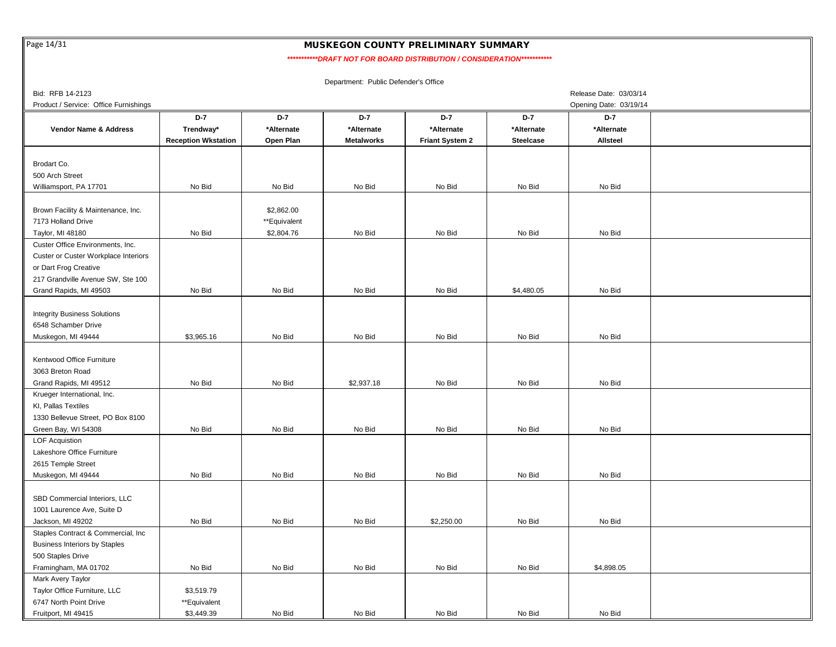Page 14/31

## MUSKEGON COUNTY PRELIMINARY SUMMARY

 *\*\*\*\*\*\*\*\*\*\*\*DRAFT NOT FOR BOARD DISTRIBUTION / CONSIDERATION\*\*\*\*\*\*\*\*\*\*\**

| Bid: RFB 14-2123                      |                            |              |                   |                        |                  | Release Date: 03/03/14 |  |
|---------------------------------------|----------------------------|--------------|-------------------|------------------------|------------------|------------------------|--|
| Product / Service: Office Furnishings |                            |              |                   |                        |                  | Opening Date: 03/19/14 |  |
|                                       | D-7                        | $D-7$        | D-7               | $D-7$                  | $D-7$            | D-7                    |  |
| Vendor Name & Address                 | Trendway*                  | *Alternate   | *Alternate        | *Alternate             | *Alternate       | *Alternate             |  |
|                                       | <b>Reception Wkstation</b> | Open Plan    | <b>Metalworks</b> | <b>Friant System 2</b> | <b>Steelcase</b> | Allsteel               |  |
|                                       |                            |              |                   |                        |                  |                        |  |
| Brodart Co.                           |                            |              |                   |                        |                  |                        |  |
| 500 Arch Street                       |                            |              |                   |                        |                  |                        |  |
| Williamsport, PA 17701                | No Bid                     | No Bid       | No Bid            | No Bid                 | No Bid           | No Bid                 |  |
|                                       |                            |              |                   |                        |                  |                        |  |
| Brown Facility & Maintenance, Inc.    |                            | \$2,862.00   |                   |                        |                  |                        |  |
| 7173 Holland Drive                    |                            | **Equivalent |                   |                        |                  |                        |  |
| Taylor, MI 48180                      | No Bid                     | \$2,804.76   | No Bid            | No Bid                 | No Bid           | No Bid                 |  |
| Custer Office Environments, Inc.      |                            |              |                   |                        |                  |                        |  |
| Custer or Custer Workplace Interiors  |                            |              |                   |                        |                  |                        |  |
| or Dart Frog Creative                 |                            |              |                   |                        |                  |                        |  |
| 217 Grandville Avenue SW, Ste 100     |                            |              |                   |                        |                  |                        |  |
| Grand Rapids, MI 49503                | No Bid                     | No Bid       | No Bid            | No Bid                 | \$4,480.05       | No Bid                 |  |
|                                       |                            |              |                   |                        |                  |                        |  |
| <b>Integrity Business Solutions</b>   |                            |              |                   |                        |                  |                        |  |
| 6548 Schamber Drive                   |                            |              |                   |                        |                  |                        |  |
| Muskegon, MI 49444                    | \$3,965.16                 | No Bid       | No Bid            | No Bid                 | No Bid           | No Bid                 |  |
|                                       |                            |              |                   |                        |                  |                        |  |
| Kentwood Office Furniture             |                            |              |                   |                        |                  |                        |  |
| 3063 Breton Road                      |                            |              |                   |                        |                  |                        |  |
| Grand Rapids, MI 49512                | No Bid                     | No Bid       | \$2,937.18        | No Bid                 | No Bid           | No Bid                 |  |
| Krueger International, Inc.           |                            |              |                   |                        |                  |                        |  |
| KI, Pallas Textiles                   |                            |              |                   |                        |                  |                        |  |
| 1330 Bellevue Street, PO Box 8100     |                            |              |                   |                        |                  |                        |  |
| Green Bay, WI 54308                   | No Bid                     | No Bid       | No Bid            | No Bid                 | No Bid           | No Bid                 |  |
| <b>LOF Acquistion</b>                 |                            |              |                   |                        |                  |                        |  |
| Lakeshore Office Furniture            |                            |              |                   |                        |                  |                        |  |
| 2615 Temple Street                    |                            |              |                   |                        |                  |                        |  |
| Muskegon, MI 49444                    | No Bid                     | No Bid       | No Bid            | No Bid                 | No Bid           | No Bid                 |  |
|                                       |                            |              |                   |                        |                  |                        |  |
| SBD Commercial Interiors, LLC         |                            |              |                   |                        |                  |                        |  |
| 1001 Laurence Ave, Suite D            |                            |              |                   |                        |                  |                        |  |
| Jackson, MI 49202                     | No Bid                     | No Bid       | No Bid            | \$2,250.00             | No Bid           | No Bid                 |  |
| Staples Contract & Commercial, Inc.   |                            |              |                   |                        |                  |                        |  |
|                                       |                            |              |                   |                        |                  |                        |  |
| <b>Business Interiors by Staples</b>  |                            |              |                   |                        |                  |                        |  |
| 500 Staples Drive                     |                            |              |                   | No Bid                 | No Bid           | \$4,898.05             |  |
| Framingham, MA 01702                  | No Bid                     | No Bid       | No Bid            |                        |                  |                        |  |
| Mark Avery Taylor                     |                            |              |                   |                        |                  |                        |  |
| Taylor Office Furniture, LLC          | \$3,519.79                 |              |                   |                        |                  |                        |  |
| 6747 North Point Drive                | **Equivalent               |              |                   |                        |                  |                        |  |
| Fruitport, MI 49415                   | \$3,449.39                 | No Bid       | No Bid            | No Bid                 | No Bid           | No Bid                 |  |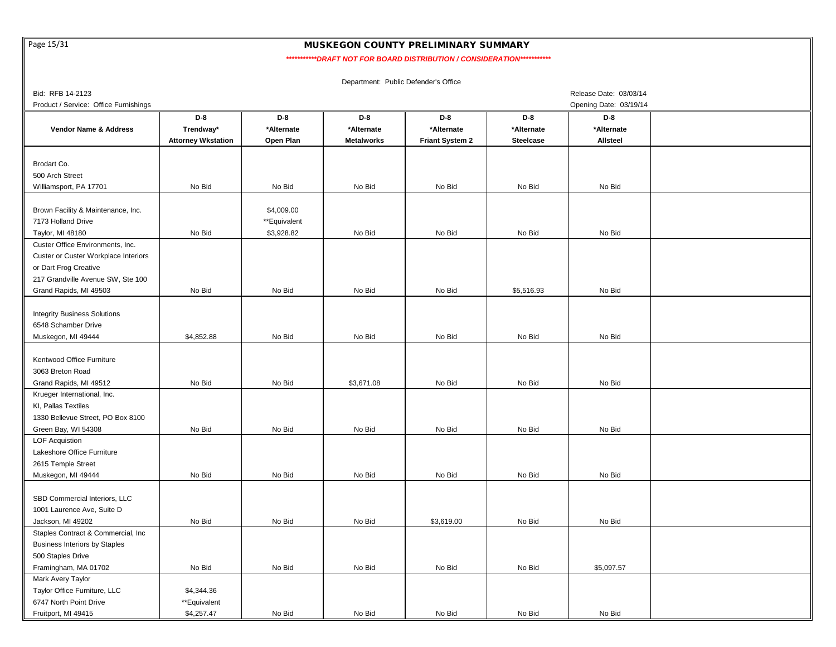Page 15/31

# MUSKEGON COUNTY PRELIMINARY SUMMARY

 *\*\*\*\*\*\*\*\*\*\*\*DRAFT NOT FOR BOARD DISTRIBUTION / CONSIDERATION\*\*\*\*\*\*\*\*\*\*\**

| Bid: RFB 14-2123                      |                           |              |                   |                        |                  | Release Date: 03/03/14 |  |
|---------------------------------------|---------------------------|--------------|-------------------|------------------------|------------------|------------------------|--|
| Product / Service: Office Furnishings |                           |              |                   |                        |                  | Opening Date: 03/19/14 |  |
|                                       | $D-8$                     | $D-8$        | D-8               | D-8                    | D-8              | D-8                    |  |
| <b>Vendor Name &amp; Address</b>      | Trendway*                 | *Alternate   | *Alternate        | *Alternate             | *Alternate       | *Alternate             |  |
|                                       | <b>Attorney Wkstation</b> | Open Plan    | <b>Metalworks</b> | <b>Friant System 2</b> | <b>Steelcase</b> | <b>Allsteel</b>        |  |
|                                       |                           |              |                   |                        |                  |                        |  |
| Brodart Co.                           |                           |              |                   |                        |                  |                        |  |
| 500 Arch Street                       |                           |              |                   |                        |                  |                        |  |
| Williamsport, PA 17701                | No Bid                    | No Bid       | No Bid            | No Bid                 | No Bid           | No Bid                 |  |
|                                       |                           |              |                   |                        |                  |                        |  |
| Brown Facility & Maintenance, Inc.    |                           | \$4,009.00   |                   |                        |                  |                        |  |
| 7173 Holland Drive                    |                           | **Equivalent |                   |                        |                  |                        |  |
| Taylor, MI 48180                      | No Bid                    | \$3,928.82   | No Bid            | No Bid                 | No Bid           | No Bid                 |  |
| Custer Office Environments, Inc.      |                           |              |                   |                        |                  |                        |  |
| Custer or Custer Workplace Interiors  |                           |              |                   |                        |                  |                        |  |
| or Dart Frog Creative                 |                           |              |                   |                        |                  |                        |  |
| 217 Grandville Avenue SW, Ste 100     |                           |              |                   |                        |                  |                        |  |
| Grand Rapids, MI 49503                | No Bid                    | No Bid       | No Bid            | No Bid                 | \$5,516.93       | No Bid                 |  |
|                                       |                           |              |                   |                        |                  |                        |  |
| <b>Integrity Business Solutions</b>   |                           |              |                   |                        |                  |                        |  |
| 6548 Schamber Drive                   |                           |              |                   |                        |                  |                        |  |
| Muskegon, MI 49444                    | \$4,852.88                | No Bid       | No Bid            | No Bid                 | No Bid           | No Bid                 |  |
|                                       |                           |              |                   |                        |                  |                        |  |
| Kentwood Office Furniture             |                           |              |                   |                        |                  |                        |  |
| 3063 Breton Road                      |                           |              |                   |                        |                  |                        |  |
| Grand Rapids, MI 49512                | No Bid                    | No Bid       | \$3,671.08        | No Bid                 | No Bid           | No Bid                 |  |
| Krueger International, Inc.           |                           |              |                   |                        |                  |                        |  |
| KI, Pallas Textiles                   |                           |              |                   |                        |                  |                        |  |
| 1330 Bellevue Street, PO Box 8100     |                           |              |                   |                        |                  |                        |  |
| Green Bay, WI 54308                   | No Bid                    | No Bid       | No Bid            | No Bid                 | No Bid           | No Bid                 |  |
| <b>LOF Acquistion</b>                 |                           |              |                   |                        |                  |                        |  |
| Lakeshore Office Furniture            |                           |              |                   |                        |                  |                        |  |
| 2615 Temple Street                    |                           |              |                   |                        |                  |                        |  |
| Muskegon, MI 49444                    | No Bid                    | No Bid       | No Bid            | No Bid                 | No Bid           | No Bid                 |  |
|                                       |                           |              |                   |                        |                  |                        |  |
| SBD Commercial Interiors, LLC         |                           |              |                   |                        |                  |                        |  |
| 1001 Laurence Ave, Suite D            |                           |              |                   |                        |                  |                        |  |
| Jackson, MI 49202                     | No Bid                    | No Bid       | No Bid            | \$3,619.00             | No Bid           | No Bid                 |  |
| Staples Contract & Commercial, Inc    |                           |              |                   |                        |                  |                        |  |
| <b>Business Interiors by Staples</b>  |                           |              |                   |                        |                  |                        |  |
| 500 Staples Drive                     |                           |              |                   |                        |                  |                        |  |
| Framingham, MA 01702                  | No Bid                    | No Bid       | No Bid            | No Bid                 | No Bid           | \$5,097.57             |  |
| Mark Avery Taylor                     |                           |              |                   |                        |                  |                        |  |
| Taylor Office Furniture, LLC          | \$4,344.36                |              |                   |                        |                  |                        |  |
| 6747 North Point Drive                | **Equivalent              |              |                   |                        |                  |                        |  |
|                                       | \$4,257.47                | No Bid       | No Bid            | No Bid                 | No Bid           | No Bid                 |  |
| Fruitport, MI 49415                   |                           |              |                   |                        |                  |                        |  |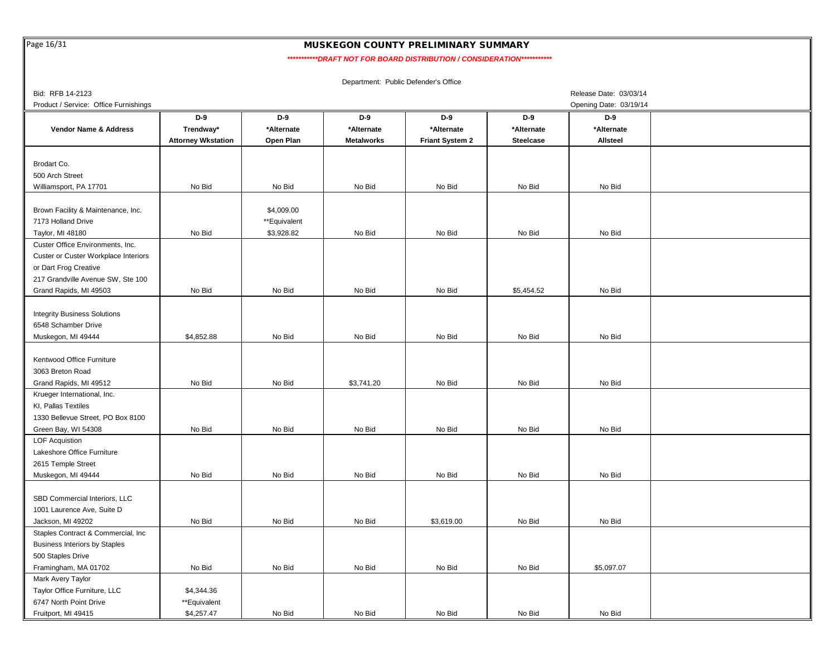Page 16/31

## MUSKEGON COUNTY PRELIMINARY SUMMARY

 *\*\*\*\*\*\*\*\*\*\*\*DRAFT NOT FOR BOARD DISTRIBUTION / CONSIDERATION\*\*\*\*\*\*\*\*\*\*\**

| Bid: RFB 14-2123                      |                           |              |                   |                 |                  | Release Date: 03/03/14 |  |
|---------------------------------------|---------------------------|--------------|-------------------|-----------------|------------------|------------------------|--|
| Product / Service: Office Furnishings |                           |              |                   |                 |                  | Opening Date: 03/19/14 |  |
|                                       | D-9                       | D-9          | D-9               | D-9             | D-9              | D-9                    |  |
| <b>Vendor Name &amp; Address</b>      | Trendway*                 | *Alternate   | *Alternate        | *Alternate      | *Alternate       | *Alternate             |  |
|                                       | <b>Attorney Wkstation</b> | Open Plan    | <b>Metalworks</b> | Friant System 2 | <b>Steelcase</b> | Allsteel               |  |
|                                       |                           |              |                   |                 |                  |                        |  |
| Brodart Co.                           |                           |              |                   |                 |                  |                        |  |
| 500 Arch Street                       |                           |              |                   |                 |                  |                        |  |
| Williamsport, PA 17701                | No Bid                    | No Bid       | No Bid            | No Bid          | No Bid           | No Bid                 |  |
|                                       |                           |              |                   |                 |                  |                        |  |
|                                       |                           |              |                   |                 |                  |                        |  |
| Brown Facility & Maintenance, Inc.    |                           | \$4,009.00   |                   |                 |                  |                        |  |
| 7173 Holland Drive                    |                           | **Equivalent |                   |                 |                  |                        |  |
| Taylor, MI 48180                      | No Bid                    | \$3,928.82   | No Bid            | No Bid          | No Bid           | No Bid                 |  |
| Custer Office Environments, Inc.      |                           |              |                   |                 |                  |                        |  |
| Custer or Custer Workplace Interiors  |                           |              |                   |                 |                  |                        |  |
| or Dart Frog Creative                 |                           |              |                   |                 |                  |                        |  |
| 217 Grandville Avenue SW, Ste 100     |                           |              |                   |                 |                  |                        |  |
| Grand Rapids, MI 49503                | No Bid                    | No Bid       | No Bid            | No Bid          | \$5,454.52       | No Bid                 |  |
|                                       |                           |              |                   |                 |                  |                        |  |
| <b>Integrity Business Solutions</b>   |                           |              |                   |                 |                  |                        |  |
| 6548 Schamber Drive                   |                           |              |                   |                 |                  |                        |  |
| Muskegon, MI 49444                    | \$4,852.88                | No Bid       | No Bid            | No Bid          | No Bid           | No Bid                 |  |
|                                       |                           |              |                   |                 |                  |                        |  |
| Kentwood Office Furniture             |                           |              |                   |                 |                  |                        |  |
| 3063 Breton Road                      |                           |              |                   |                 |                  |                        |  |
| Grand Rapids, MI 49512                | No Bid                    | No Bid       | \$3,741.20        | No Bid          | No Bid           | No Bid                 |  |
| Krueger International, Inc.           |                           |              |                   |                 |                  |                        |  |
| KI, Pallas Textiles                   |                           |              |                   |                 |                  |                        |  |
| 1330 Bellevue Street, PO Box 8100     |                           |              |                   |                 |                  |                        |  |
| Green Bay, WI 54308                   | No Bid                    | No Bid       | No Bid            | No Bid          | No Bid           | No Bid                 |  |
| <b>LOF Acquistion</b>                 |                           |              |                   |                 |                  |                        |  |
| Lakeshore Office Furniture            |                           |              |                   |                 |                  |                        |  |
| 2615 Temple Street                    |                           |              |                   |                 |                  |                        |  |
|                                       |                           |              |                   |                 |                  |                        |  |
| Muskegon, MI 49444                    | No Bid                    | No Bid       | No Bid            | No Bid          | No Bid           | No Bid                 |  |
|                                       |                           |              |                   |                 |                  |                        |  |
| SBD Commercial Interiors, LLC         |                           |              |                   |                 |                  |                        |  |
| 1001 Laurence Ave, Suite D            |                           |              |                   |                 |                  |                        |  |
| Jackson, MI 49202                     | No Bid                    | No Bid       | No Bid            | \$3,619.00      | No Bid           | No Bid                 |  |
| Staples Contract & Commercial, Inc.   |                           |              |                   |                 |                  |                        |  |
| <b>Business Interiors by Staples</b>  |                           |              |                   |                 |                  |                        |  |
| 500 Staples Drive                     |                           |              |                   |                 |                  |                        |  |
| Framingham, MA 01702                  | No Bid                    | No Bid       | No Bid            | No Bid          | No Bid           | \$5,097.07             |  |
| Mark Avery Taylor                     |                           |              |                   |                 |                  |                        |  |
| Taylor Office Furniture, LLC          | \$4,344.36                |              |                   |                 |                  |                        |  |
| 6747 North Point Drive                | **Equivalent              |              |                   |                 |                  |                        |  |
| Fruitport, MI 49415                   | \$4,257.47                | No Bid       | No Bid            | No Bid          | No Bid           | No Bid                 |  |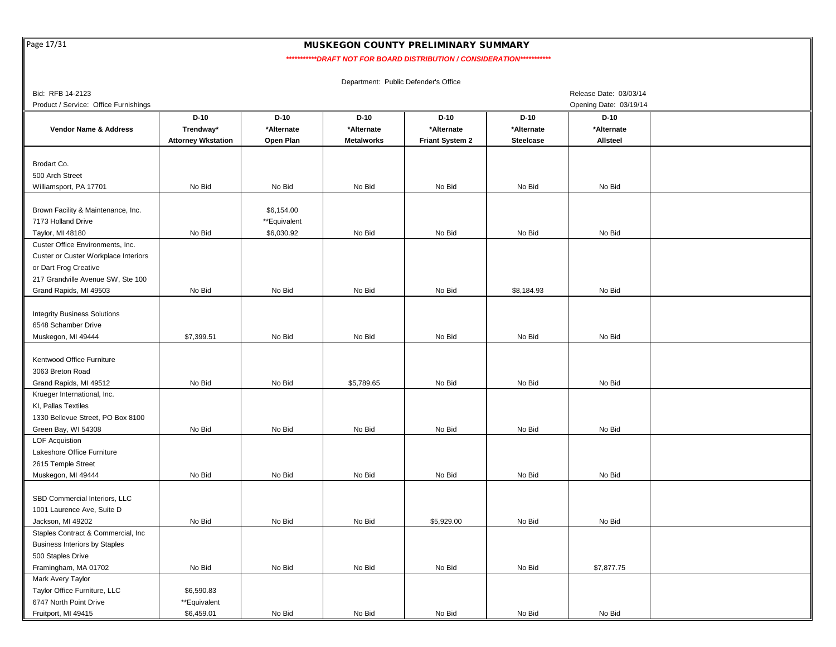Page 17/31

# MUSKEGON COUNTY PRELIMINARY SUMMARY

 *\*\*\*\*\*\*\*\*\*\*\*DRAFT NOT FOR BOARD DISTRIBUTION / CONSIDERATION\*\*\*\*\*\*\*\*\*\*\**

| Bid: RFB 14-2123                      |                           |              |                   |                        |                  | Release Date: 03/03/14 |  |
|---------------------------------------|---------------------------|--------------|-------------------|------------------------|------------------|------------------------|--|
| Product / Service: Office Furnishings |                           |              |                   |                        |                  | Opening Date: 03/19/14 |  |
|                                       | $D-10$                    | $D-10$       | $D-10$            | $D-10$                 | $D-10$           | $D-10$                 |  |
| <b>Vendor Name &amp; Address</b>      | Trendway*                 | *Alternate   | *Alternate        | *Alternate             | *Alternate       | *Alternate             |  |
|                                       | <b>Attorney Wkstation</b> | Open Plan    | <b>Metalworks</b> | <b>Friant System 2</b> | <b>Steelcase</b> | Allsteel               |  |
|                                       |                           |              |                   |                        |                  |                        |  |
| Brodart Co.                           |                           |              |                   |                        |                  |                        |  |
| 500 Arch Street                       |                           |              |                   |                        |                  |                        |  |
| Williamsport, PA 17701                | No Bid                    | No Bid       | No Bid            | No Bid                 | No Bid           | No Bid                 |  |
|                                       |                           |              |                   |                        |                  |                        |  |
| Brown Facility & Maintenance, Inc.    |                           | \$6,154.00   |                   |                        |                  |                        |  |
| 7173 Holland Drive                    |                           | **Equivalent |                   |                        |                  |                        |  |
| Taylor, MI 48180                      | No Bid                    | \$6,030.92   | No Bid            | No Bid                 | No Bid           | No Bid                 |  |
| Custer Office Environments, Inc.      |                           |              |                   |                        |                  |                        |  |
| Custer or Custer Workplace Interiors  |                           |              |                   |                        |                  |                        |  |
| or Dart Frog Creative                 |                           |              |                   |                        |                  |                        |  |
| 217 Grandville Avenue SW, Ste 100     |                           |              |                   |                        |                  |                        |  |
| Grand Rapids, MI 49503                | No Bid                    | No Bid       | No Bid            | No Bid                 | \$8,184.93       | No Bid                 |  |
|                                       |                           |              |                   |                        |                  |                        |  |
| <b>Integrity Business Solutions</b>   |                           |              |                   |                        |                  |                        |  |
| 6548 Schamber Drive                   |                           |              |                   |                        |                  |                        |  |
| Muskegon, MI 49444                    | \$7,399.51                | No Bid       | No Bid            | No Bid                 | No Bid           | No Bid                 |  |
|                                       |                           |              |                   |                        |                  |                        |  |
| Kentwood Office Furniture             |                           |              |                   |                        |                  |                        |  |
| 3063 Breton Road                      |                           |              |                   |                        |                  |                        |  |
| Grand Rapids, MI 49512                | No Bid                    | No Bid       | \$5,789.65        | No Bid                 | No Bid           | No Bid                 |  |
| Krueger International, Inc.           |                           |              |                   |                        |                  |                        |  |
| KI, Pallas Textiles                   |                           |              |                   |                        |                  |                        |  |
| 1330 Bellevue Street, PO Box 8100     |                           |              |                   |                        |                  |                        |  |
| Green Bay, WI 54308                   | No Bid                    | No Bid       | No Bid            | No Bid                 | No Bid           | No Bid                 |  |
| <b>LOF Acquistion</b>                 |                           |              |                   |                        |                  |                        |  |
| Lakeshore Office Furniture            |                           |              |                   |                        |                  |                        |  |
| 2615 Temple Street                    |                           |              |                   |                        |                  |                        |  |
| Muskegon, MI 49444                    | No Bid                    | No Bid       | No Bid            | No Bid                 | No Bid           | No Bid                 |  |
|                                       |                           |              |                   |                        |                  |                        |  |
| SBD Commercial Interiors, LLC         |                           |              |                   |                        |                  |                        |  |
| 1001 Laurence Ave, Suite D            |                           |              |                   |                        |                  |                        |  |
| Jackson, MI 49202                     | No Bid                    | No Bid       | No Bid            | \$5,929.00             | No Bid           | No Bid                 |  |
| Staples Contract & Commercial, Inc.   |                           |              |                   |                        |                  |                        |  |
| <b>Business Interiors by Staples</b>  |                           |              |                   |                        |                  |                        |  |
| 500 Staples Drive                     |                           |              |                   |                        |                  |                        |  |
| Framingham, MA 01702                  | No Bid                    | No Bid       | No Bid            | No Bid                 | No Bid           | \$7,877.75             |  |
| Mark Avery Taylor                     |                           |              |                   |                        |                  |                        |  |
| Taylor Office Furniture, LLC          | \$6,590.83                |              |                   |                        |                  |                        |  |
| 6747 North Point Drive                | **Equivalent              |              |                   |                        |                  |                        |  |
| Fruitport, MI 49415                   | \$6,459.01                | No Bid       | No Bid            | No Bid                 | No Bid           | No Bid                 |  |
|                                       |                           |              |                   |                        |                  |                        |  |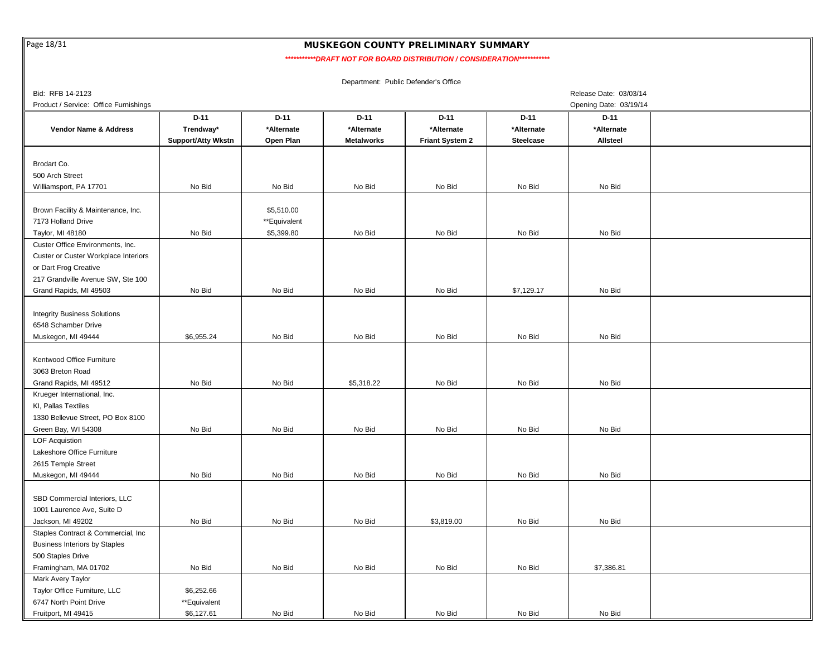Page 18/31

 $\mathbf{I}$ 

# MUSKEGON COUNTY PRELIMINARY SUMMARY

*\*\*\*\*\*\*\*\*\*\*\*DRAFT NOT FOR BOARD DISTRIBUTION / CONSIDERATION\*\*\*\*\*\*\*\*\*\*\**

| Bid: RFB 14-2123                      |                           |              |                   |                 |                  | Release Date: 03/03/14 |  |
|---------------------------------------|---------------------------|--------------|-------------------|-----------------|------------------|------------------------|--|
| Product / Service: Office Furnishings |                           |              |                   |                 |                  | Opening Date: 03/19/14 |  |
|                                       | $D-11$                    | $D-11$       | $D-11$            | $D-11$          | $D-11$           | $D-11$                 |  |
| Vendor Name & Address                 | Trendway*                 | *Alternate   | *Alternate        | *Alternate      | *Alternate       | *Alternate             |  |
|                                       | <b>Support/Atty Wkstn</b> | Open Plan    | <b>Metalworks</b> | Friant System 2 | <b>Steelcase</b> | Allsteel               |  |
|                                       |                           |              |                   |                 |                  |                        |  |
| Brodart Co.                           |                           |              |                   |                 |                  |                        |  |
| 500 Arch Street                       |                           |              |                   |                 |                  |                        |  |
| Williamsport, PA 17701                | No Bid                    | No Bid       | No Bid            | No Bid          | No Bid           | No Bid                 |  |
|                                       |                           |              |                   |                 |                  |                        |  |
| Brown Facility & Maintenance, Inc.    |                           | \$5,510.00   |                   |                 |                  |                        |  |
| 7173 Holland Drive                    |                           | **Equivalent |                   |                 |                  |                        |  |
|                                       |                           |              |                   |                 |                  |                        |  |
| Taylor, MI 48180                      | No Bid                    | \$5,399.80   | No Bid            | No Bid          | No Bid           | No Bid                 |  |
| Custer Office Environments, Inc.      |                           |              |                   |                 |                  |                        |  |
| Custer or Custer Workplace Interiors  |                           |              |                   |                 |                  |                        |  |
| or Dart Frog Creative                 |                           |              |                   |                 |                  |                        |  |
| 217 Grandville Avenue SW, Ste 100     |                           |              |                   |                 |                  |                        |  |
| Grand Rapids, MI 49503                | No Bid                    | No Bid       | No Bid            | No Bid          | \$7,129.17       | No Bid                 |  |
|                                       |                           |              |                   |                 |                  |                        |  |
| <b>Integrity Business Solutions</b>   |                           |              |                   |                 |                  |                        |  |
| 6548 Schamber Drive                   |                           |              |                   |                 |                  |                        |  |
| Muskegon, MI 49444                    | \$6,955.24                | No Bid       | No Bid            | No Bid          | No Bid           | No Bid                 |  |
|                                       |                           |              |                   |                 |                  |                        |  |
| Kentwood Office Furniture             |                           |              |                   |                 |                  |                        |  |
| 3063 Breton Road                      |                           |              |                   |                 |                  |                        |  |
| Grand Rapids, MI 49512                | No Bid                    | No Bid       | \$5,318.22        | No Bid          | No Bid           | No Bid                 |  |
| Krueger International, Inc.           |                           |              |                   |                 |                  |                        |  |
| KI, Pallas Textiles                   |                           |              |                   |                 |                  |                        |  |
| 1330 Bellevue Street, PO Box 8100     |                           |              |                   |                 |                  |                        |  |
| Green Bay, WI 54308                   | No Bid                    | No Bid       | No Bid            | No Bid          | No Bid           | No Bid                 |  |
| <b>LOF Acquistion</b>                 |                           |              |                   |                 |                  |                        |  |
| Lakeshore Office Furniture            |                           |              |                   |                 |                  |                        |  |
| 2615 Temple Street                    |                           |              |                   |                 |                  |                        |  |
| Muskegon, MI 49444                    | No Bid                    | No Bid       | No Bid            | No Bid          | No Bid           | No Bid                 |  |
|                                       |                           |              |                   |                 |                  |                        |  |
|                                       |                           |              |                   |                 |                  |                        |  |
| SBD Commercial Interiors, LLC         |                           |              |                   |                 |                  |                        |  |
| 1001 Laurence Ave, Suite D            |                           |              |                   |                 |                  |                        |  |
| Jackson, MI 49202                     | No Bid                    | No Bid       | No Bid            | \$3,819.00      | No Bid           | No Bid                 |  |
| Staples Contract & Commercial, Inc    |                           |              |                   |                 |                  |                        |  |
| <b>Business Interiors by Staples</b>  |                           |              |                   |                 |                  |                        |  |
| 500 Staples Drive                     |                           |              |                   |                 |                  |                        |  |
| Framingham, MA 01702                  | No Bid                    | No Bid       | No Bid            | No Bid          | No Bid           | \$7,386.81             |  |
| <b>Mark Avery Taylor</b>              |                           |              |                   |                 |                  |                        |  |
| Taylor Office Furniture, LLC          | \$6,252.66                |              |                   |                 |                  |                        |  |
| 6747 North Point Drive                | **Equivalent              |              |                   |                 |                  |                        |  |
| Fruitport, MI 49415                   | \$6,127.61                | No Bid       | No Bid            | No Bid          | No Bid           | No Bid                 |  |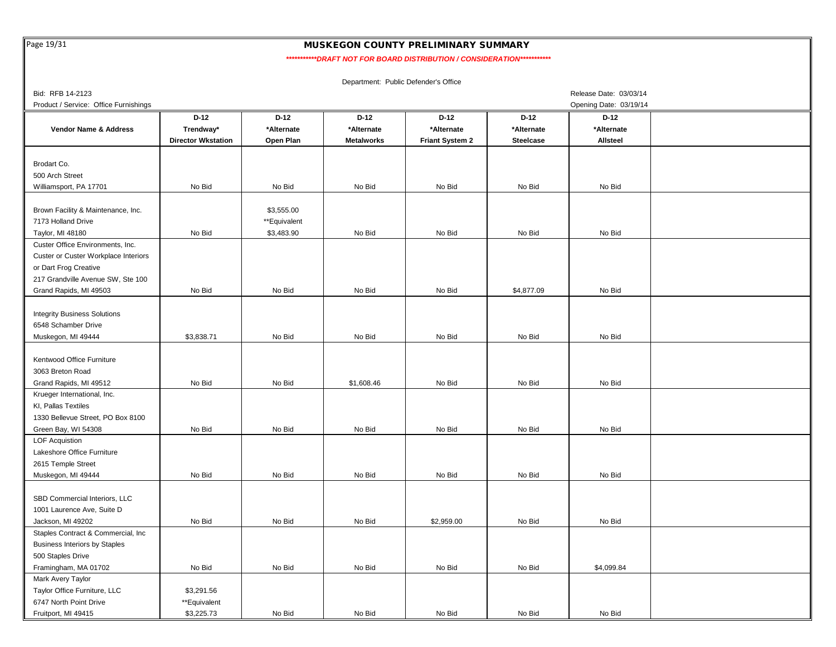Page 19/31

# MUSKEGON COUNTY PRELIMINARY SUMMARY

 *\*\*\*\*\*\*\*\*\*\*\*DRAFT NOT FOR BOARD DISTRIBUTION / CONSIDERATION\*\*\*\*\*\*\*\*\*\*\**

| Bid: RFB 14-2123                      |                           |              |                   |                        |                  | Release Date: 03/03/14 |  |
|---------------------------------------|---------------------------|--------------|-------------------|------------------------|------------------|------------------------|--|
| Product / Service: Office Furnishings |                           |              |                   |                        |                  | Opening Date: 03/19/14 |  |
|                                       | $D-12$                    | $D-12$       | $D-12$            | $D-12$                 | $D-12$           | D-12                   |  |
| <b>Vendor Name &amp; Address</b>      | Trendway*                 | *Alternate   | *Alternate        | *Alternate             | *Alternate       | *Alternate             |  |
|                                       | <b>Director Wkstation</b> | Open Plan    | <b>Metalworks</b> | <b>Friant System 2</b> | <b>Steelcase</b> | <b>Allsteel</b>        |  |
|                                       |                           |              |                   |                        |                  |                        |  |
| Brodart Co.                           |                           |              |                   |                        |                  |                        |  |
| 500 Arch Street                       |                           |              |                   |                        |                  |                        |  |
| Williamsport, PA 17701                | No Bid                    | No Bid       | No Bid            | No Bid                 | No Bid           | No Bid                 |  |
|                                       |                           |              |                   |                        |                  |                        |  |
|                                       |                           | \$3,555.00   |                   |                        |                  |                        |  |
| Brown Facility & Maintenance, Inc.    |                           |              |                   |                        |                  |                        |  |
| 7173 Holland Drive                    |                           | **Equivalent |                   |                        |                  |                        |  |
| Taylor, MI 48180                      | No Bid                    | \$3,483.90   | No Bid            | No Bid                 | No Bid           | No Bid                 |  |
| Custer Office Environments, Inc.      |                           |              |                   |                        |                  |                        |  |
| Custer or Custer Workplace Interiors  |                           |              |                   |                        |                  |                        |  |
| or Dart Frog Creative                 |                           |              |                   |                        |                  |                        |  |
| 217 Grandville Avenue SW, Ste 100     |                           |              |                   |                        |                  |                        |  |
| Grand Rapids, MI 49503                | No Bid                    | No Bid       | No Bid            | No Bid                 | \$4,877.09       | No Bid                 |  |
|                                       |                           |              |                   |                        |                  |                        |  |
| <b>Integrity Business Solutions</b>   |                           |              |                   |                        |                  |                        |  |
| 6548 Schamber Drive                   |                           |              |                   |                        |                  |                        |  |
| Muskegon, MI 49444                    | \$3,838.71                | No Bid       | No Bid            | No Bid                 | No Bid           | No Bid                 |  |
|                                       |                           |              |                   |                        |                  |                        |  |
| Kentwood Office Furniture             |                           |              |                   |                        |                  |                        |  |
| 3063 Breton Road                      |                           |              |                   |                        |                  |                        |  |
| Grand Rapids, MI 49512                | No Bid                    | No Bid       | \$1,608.46        | No Bid                 | No Bid           | No Bid                 |  |
| Krueger International, Inc.           |                           |              |                   |                        |                  |                        |  |
| KI, Pallas Textiles                   |                           |              |                   |                        |                  |                        |  |
| 1330 Bellevue Street, PO Box 8100     |                           |              |                   |                        |                  |                        |  |
| Green Bay, WI 54308                   | No Bid                    | No Bid       | No Bid            | No Bid                 | No Bid           | No Bid                 |  |
| <b>LOF Acquistion</b>                 |                           |              |                   |                        |                  |                        |  |
| Lakeshore Office Furniture            |                           |              |                   |                        |                  |                        |  |
| 2615 Temple Street                    |                           |              |                   |                        |                  |                        |  |
| Muskegon, MI 49444                    | No Bid                    | No Bid       | No Bid            | No Bid                 | No Bid           | No Bid                 |  |
|                                       |                           |              |                   |                        |                  |                        |  |
|                                       |                           |              |                   |                        |                  |                        |  |
| SBD Commercial Interiors, LLC         |                           |              |                   |                        |                  |                        |  |
| 1001 Laurence Ave, Suite D            |                           |              |                   |                        |                  |                        |  |
| Jackson, MI 49202                     | No Bid                    | No Bid       | No Bid            | \$2,959.00             | No Bid           | No Bid                 |  |
| Staples Contract & Commercial, Inc.   |                           |              |                   |                        |                  |                        |  |
| <b>Business Interiors by Staples</b>  |                           |              |                   |                        |                  |                        |  |
| 500 Staples Drive                     |                           |              |                   |                        |                  |                        |  |
| Framingham, MA 01702                  | No Bid                    | No Bid       | No Bid            | No Bid                 | No Bid           | \$4,099.84             |  |
| Mark Avery Taylor                     |                           |              |                   |                        |                  |                        |  |
| Taylor Office Furniture, LLC          | \$3,291.56                |              |                   |                        |                  |                        |  |
| 6747 North Point Drive                | **Equivalent              |              |                   |                        |                  |                        |  |
| Fruitport, MI 49415                   | \$3,225.73                | No Bid       | No Bid            | No Bid                 | No Bid           | No Bid                 |  |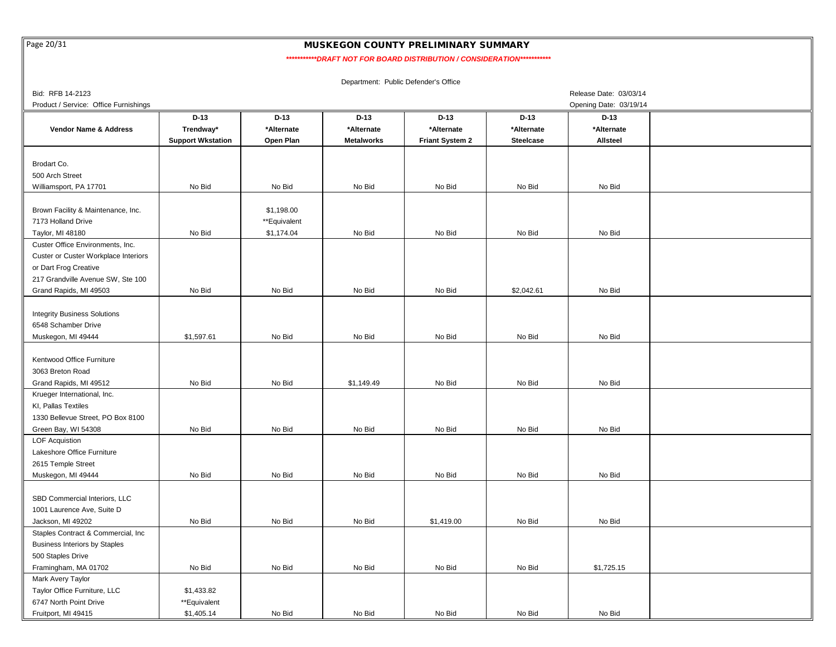Page 20/31

## MUSKEGON COUNTY PRELIMINARY SUMMARY

 *\*\*\*\*\*\*\*\*\*\*\*DRAFT NOT FOR BOARD DISTRIBUTION / CONSIDERATION\*\*\*\*\*\*\*\*\*\*\**

| Bid: RFB 14-2123                      |                          |              |                   |                        |                  | Release Date: 03/03/14 |  |
|---------------------------------------|--------------------------|--------------|-------------------|------------------------|------------------|------------------------|--|
| Product / Service: Office Furnishings |                          |              |                   |                        |                  | Opening Date: 03/19/14 |  |
|                                       | $D-13$                   | $D-13$       | $D-13$            | $D-13$                 | $D-13$           | $D-13$                 |  |
| <b>Vendor Name &amp; Address</b>      | Trendway*                | *Alternate   | *Alternate        | *Alternate             | *Alternate       | *Alternate             |  |
|                                       | <b>Support Wkstation</b> | Open Plan    | <b>Metalworks</b> | <b>Friant System 2</b> | <b>Steelcase</b> | Allsteel               |  |
|                                       |                          |              |                   |                        |                  |                        |  |
| Brodart Co.                           |                          |              |                   |                        |                  |                        |  |
| 500 Arch Street                       |                          |              |                   |                        |                  |                        |  |
| Williamsport, PA 17701                | No Bid                   | No Bid       | No Bid            | No Bid                 | No Bid           | No Bid                 |  |
|                                       |                          |              |                   |                        |                  |                        |  |
| Brown Facility & Maintenance, Inc.    |                          | \$1,198.00   |                   |                        |                  |                        |  |
| 7173 Holland Drive                    |                          | **Equivalent |                   |                        |                  |                        |  |
| Taylor, MI 48180                      | No Bid                   | \$1,174.04   | No Bid            | No Bid                 | No Bid           | No Bid                 |  |
| Custer Office Environments, Inc.      |                          |              |                   |                        |                  |                        |  |
| Custer or Custer Workplace Interiors  |                          |              |                   |                        |                  |                        |  |
| or Dart Frog Creative                 |                          |              |                   |                        |                  |                        |  |
| 217 Grandville Avenue SW, Ste 100     |                          |              |                   |                        |                  |                        |  |
| Grand Rapids, MI 49503                | No Bid                   | No Bid       | No Bid            | No Bid                 | \$2,042.61       | No Bid                 |  |
|                                       |                          |              |                   |                        |                  |                        |  |
| <b>Integrity Business Solutions</b>   |                          |              |                   |                        |                  |                        |  |
| 6548 Schamber Drive                   |                          |              |                   |                        |                  |                        |  |
| Muskegon, MI 49444                    | \$1,597.61               | No Bid       | No Bid            | No Bid                 | No Bid           | No Bid                 |  |
|                                       |                          |              |                   |                        |                  |                        |  |
| Kentwood Office Furniture             |                          |              |                   |                        |                  |                        |  |
| 3063 Breton Road                      |                          |              |                   |                        |                  |                        |  |
| Grand Rapids, MI 49512                | No Bid                   | No Bid       | \$1,149.49        | No Bid                 | No Bid           | No Bid                 |  |
| Krueger International, Inc.           |                          |              |                   |                        |                  |                        |  |
| KI, Pallas Textiles                   |                          |              |                   |                        |                  |                        |  |
| 1330 Bellevue Street, PO Box 8100     |                          |              |                   |                        |                  |                        |  |
| Green Bay, WI 54308                   | No Bid                   | No Bid       | No Bid            | No Bid                 | No Bid           | No Bid                 |  |
| <b>LOF Acquistion</b>                 |                          |              |                   |                        |                  |                        |  |
| Lakeshore Office Furniture            |                          |              |                   |                        |                  |                        |  |
| 2615 Temple Street                    |                          |              |                   |                        |                  |                        |  |
| Muskegon, MI 49444                    | No Bid                   | No Bid       | No Bid            | No Bid                 | No Bid           | No Bid                 |  |
| SBD Commercial Interiors, LLC         |                          |              |                   |                        |                  |                        |  |
|                                       |                          |              |                   |                        |                  |                        |  |
| 1001 Laurence Ave, Suite D            |                          |              |                   |                        |                  |                        |  |
| Jackson, MI 49202                     | No Bid                   | No Bid       | No Bid            | \$1,419.00             | No Bid           | No Bid                 |  |
| Staples Contract & Commercial, Inc    |                          |              |                   |                        |                  |                        |  |
| <b>Business Interiors by Staples</b>  |                          |              |                   |                        |                  |                        |  |
| 500 Staples Drive                     |                          |              |                   |                        |                  |                        |  |
| Framingham, MA 01702                  | No Bid                   | No Bid       | No Bid            | No Bid                 | No Bid           | \$1,725.15             |  |
| Mark Avery Taylor                     |                          |              |                   |                        |                  |                        |  |
| Taylor Office Furniture, LLC          | \$1,433.82               |              |                   |                        |                  |                        |  |
| 6747 North Point Drive                | **Equivalent             |              |                   |                        |                  |                        |  |
| Fruitport, MI 49415                   | \$1,405.14               | No Bid       | No Bid            | No Bid                 | No Bid           | No Bid                 |  |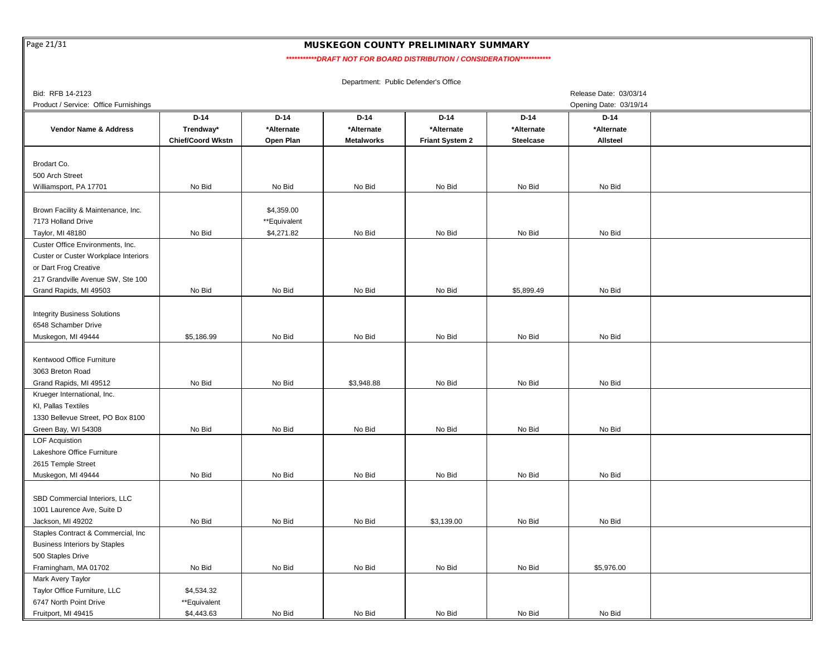Page 21/31

## MUSKEGON COUNTY PRELIMINARY SUMMARY

 *\*\*\*\*\*\*\*\*\*\*\*DRAFT NOT FOR BOARD DISTRIBUTION / CONSIDERATION\*\*\*\*\*\*\*\*\*\*\**

| Bid: RFB 14-2123                      |                          |              |            |                        |                  | Release Date: 03/03/14 |  |
|---------------------------------------|--------------------------|--------------|------------|------------------------|------------------|------------------------|--|
| Product / Service: Office Furnishings |                          |              |            |                        |                  | Opening Date: 03/19/14 |  |
|                                       | $D-14$                   | $D-14$       | $D-14$     | $D-14$                 | $D-14$           | $D-14$                 |  |
| Vendor Name & Address                 | Trendway*                | *Alternate   | *Alternate | *Alternate             | *Alternate       | *Alternate             |  |
|                                       | <b>Chief/Coord Wkstn</b> | Open Plan    | Metalworks | <b>Friant System 2</b> | <b>Steelcase</b> | Allsteel               |  |
|                                       |                          |              |            |                        |                  |                        |  |
| Brodart Co.                           |                          |              |            |                        |                  |                        |  |
| 500 Arch Street                       |                          |              |            |                        |                  |                        |  |
| Williamsport, PA 17701                | No Bid                   | No Bid       | No Bid     | No Bid                 | No Bid           | No Bid                 |  |
|                                       |                          |              |            |                        |                  |                        |  |
| Brown Facility & Maintenance, Inc.    |                          | \$4,359.00   |            |                        |                  |                        |  |
| 7173 Holland Drive                    |                          | **Equivalent |            |                        |                  |                        |  |
| Taylor, MI 48180                      | No Bid                   | \$4,271.82   | No Bid     | No Bid                 | No Bid           | No Bid                 |  |
| Custer Office Environments, Inc.      |                          |              |            |                        |                  |                        |  |
| Custer or Custer Workplace Interiors  |                          |              |            |                        |                  |                        |  |
| or Dart Frog Creative                 |                          |              |            |                        |                  |                        |  |
| 217 Grandville Avenue SW, Ste 100     |                          |              |            |                        |                  |                        |  |
| Grand Rapids, MI 49503                | No Bid                   | No Bid       | No Bid     | No Bid                 | \$5,899.49       | No Bid                 |  |
|                                       |                          |              |            |                        |                  |                        |  |
| <b>Integrity Business Solutions</b>   |                          |              |            |                        |                  |                        |  |
| 6548 Schamber Drive                   |                          |              |            |                        |                  |                        |  |
| Muskegon, MI 49444                    | \$5,186.99               | No Bid       | No Bid     | No Bid                 | No Bid           | No Bid                 |  |
|                                       |                          |              |            |                        |                  |                        |  |
| Kentwood Office Furniture             |                          |              |            |                        |                  |                        |  |
| 3063 Breton Road                      |                          |              |            |                        |                  |                        |  |
| Grand Rapids, MI 49512                | No Bid                   | No Bid       | \$3,948.88 | No Bid                 | No Bid           | No Bid                 |  |
| Krueger International, Inc.           |                          |              |            |                        |                  |                        |  |
| KI, Pallas Textiles                   |                          |              |            |                        |                  |                        |  |
| 1330 Bellevue Street, PO Box 8100     |                          |              |            |                        |                  |                        |  |
| Green Bay, WI 54308                   | No Bid                   | No Bid       | No Bid     | No Bid                 | No Bid           | No Bid                 |  |
| <b>LOF Acquistion</b>                 |                          |              |            |                        |                  |                        |  |
| Lakeshore Office Furniture            |                          |              |            |                        |                  |                        |  |
| 2615 Temple Street                    |                          |              |            |                        |                  |                        |  |
| Muskegon, MI 49444                    | No Bid                   | No Bid       | No Bid     | No Bid                 | No Bid           | No Bid                 |  |
|                                       |                          |              |            |                        |                  |                        |  |
| SBD Commercial Interiors, LLC         |                          |              |            |                        |                  |                        |  |
| 1001 Laurence Ave, Suite D            |                          |              |            |                        |                  |                        |  |
| Jackson, MI 49202                     | No Bid                   | No Bid       | No Bid     | \$3,139.00             | No Bid           | No Bid                 |  |
| Staples Contract & Commercial, Inc.   |                          |              |            |                        |                  |                        |  |
| <b>Business Interiors by Staples</b>  |                          |              |            |                        |                  |                        |  |
| 500 Staples Drive                     |                          |              |            |                        |                  |                        |  |
| Framingham, MA 01702                  | No Bid                   | No Bid       | No Bid     | No Bid                 | No Bid           | \$5,976.00             |  |
| Mark Avery Taylor                     |                          |              |            |                        |                  |                        |  |
| Taylor Office Furniture, LLC          | \$4,534.32               |              |            |                        |                  |                        |  |
| 6747 North Point Drive                | **Equivalent             |              |            |                        |                  |                        |  |
| Fruitport, MI 49415                   | \$4,443.63               | No Bid       | No Bid     | No Bid                 | No Bid           | No Bid                 |  |
|                                       |                          |              |            |                        |                  |                        |  |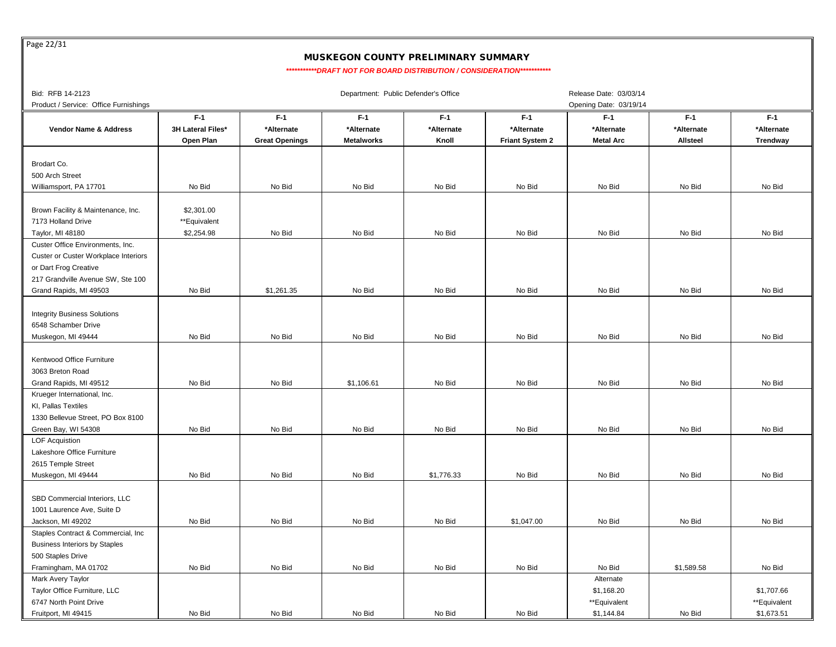Page 22/31

# MUSKEGON COUNTY PRELIMINARY SUMMARY

 *\*\*\*\*\*\*\*\*\*\*\*DRAFT NOT FOR BOARD DISTRIBUTION / CONSIDERATION\*\*\*\*\*\*\*\*\*\*\**

| Bid: RFB 14-2123                      |                   |                       | Department: Public Defender's Office |            |                        | Release Date: 03/03/14 |            |              |
|---------------------------------------|-------------------|-----------------------|--------------------------------------|------------|------------------------|------------------------|------------|--------------|
| Product / Service: Office Furnishings |                   |                       |                                      |            |                        | Opening Date: 03/19/14 |            |              |
|                                       | $F-1$             | $F-1$                 | $F-1$                                | $F-1$      | $F-1$                  | $F-1$                  | $F-1$      | $F-1$        |
| Vendor Name & Address                 | 3H Lateral Files* | *Alternate            | *Alternate                           | *Alternate | *Alternate             | *Alternate             | *Alternate | *Alternate   |
|                                       | Open Plan         | <b>Great Openings</b> | <b>Metalworks</b>                    | Knoll      | <b>Friant System 2</b> | <b>Metal Arc</b>       | Allsteel   | Trendway     |
|                                       |                   |                       |                                      |            |                        |                        |            |              |
| Brodart Co.                           |                   |                       |                                      |            |                        |                        |            |              |
| 500 Arch Street                       |                   |                       |                                      |            |                        |                        |            |              |
| Williamsport, PA 17701                | No Bid            | No Bid                | No Bid                               | No Bid     | No Bid                 | No Bid                 | No Bid     | No Bid       |
|                                       |                   |                       |                                      |            |                        |                        |            |              |
|                                       | \$2,301.00        |                       |                                      |            |                        |                        |            |              |
| Brown Facility & Maintenance, Inc.    |                   |                       |                                      |            |                        |                        |            |              |
| 7173 Holland Drive                    | **Equivalent      |                       |                                      |            |                        |                        |            |              |
| Taylor, MI 48180                      | \$2,254.98        | No Bid                | No Bid                               | No Bid     | No Bid                 | No Bid                 | No Bid     | No Bid       |
| Custer Office Environments, Inc.      |                   |                       |                                      |            |                        |                        |            |              |
| Custer or Custer Workplace Interiors  |                   |                       |                                      |            |                        |                        |            |              |
| or Dart Frog Creative                 |                   |                       |                                      |            |                        |                        |            |              |
| 217 Grandville Avenue SW, Ste 100     |                   |                       |                                      |            |                        |                        |            |              |
| Grand Rapids, MI 49503                | No Bid            | \$1,261.35            | No Bid                               | No Bid     | No Bid                 | No Bid                 | No Bid     | No Bid       |
|                                       |                   |                       |                                      |            |                        |                        |            |              |
| <b>Integrity Business Solutions</b>   |                   |                       |                                      |            |                        |                        |            |              |
| 6548 Schamber Drive                   |                   |                       |                                      |            |                        |                        |            |              |
| Muskegon, MI 49444                    | No Bid            | No Bid                | No Bid                               | No Bid     | No Bid                 | No Bid                 | No Bid     | No Bid       |
|                                       |                   |                       |                                      |            |                        |                        |            |              |
| Kentwood Office Furniture             |                   |                       |                                      |            |                        |                        |            |              |
| 3063 Breton Road                      |                   |                       |                                      |            |                        |                        |            |              |
| Grand Rapids, MI 49512                | No Bid            | No Bid                | \$1,106.61                           | No Bid     | No Bid                 | No Bid                 | No Bid     | No Bid       |
| Krueger International, Inc.           |                   |                       |                                      |            |                        |                        |            |              |
| KI, Pallas Textiles                   |                   |                       |                                      |            |                        |                        |            |              |
| 1330 Bellevue Street, PO Box 8100     |                   |                       |                                      |            |                        |                        |            |              |
| Green Bay, WI 54308                   | No Bid            | No Bid                | No Bid                               | No Bid     | No Bid                 | No Bid                 | No Bid     | No Bid       |
| <b>LOF Acquistion</b>                 |                   |                       |                                      |            |                        |                        |            |              |
| Lakeshore Office Furniture            |                   |                       |                                      |            |                        |                        |            |              |
| 2615 Temple Street                    |                   |                       |                                      |            |                        |                        |            |              |
| Muskegon, MI 49444                    | No Bid            | No Bid                | No Bid                               | \$1,776.33 | No Bid                 | No Bid                 | No Bid     | No Bid       |
|                                       |                   |                       |                                      |            |                        |                        |            |              |
| SBD Commercial Interiors, LLC         |                   |                       |                                      |            |                        |                        |            |              |
| 1001 Laurence Ave, Suite D            |                   |                       |                                      |            |                        |                        |            |              |
| Jackson, MI 49202                     | No Bid            | No Bid                | No Bid                               | No Bid     | \$1,047.00             | No Bid                 | No Bid     | No Bid       |
|                                       |                   |                       |                                      |            |                        |                        |            |              |
| Staples Contract & Commercial, Inc.   |                   |                       |                                      |            |                        |                        |            |              |
| <b>Business Interiors by Staples</b>  |                   |                       |                                      |            |                        |                        |            |              |
| 500 Staples Drive                     |                   |                       |                                      |            |                        |                        |            |              |
| Framingham, MA 01702                  | No Bid            | No Bid                | No Bid                               | No Bid     | No Bid                 | No Bid                 | \$1,589.58 | No Bid       |
| Mark Avery Taylor                     |                   |                       |                                      |            |                        | Alternate              |            |              |
| Taylor Office Furniture, LLC          |                   |                       |                                      |            |                        | \$1,168.20             |            | \$1,707.66   |
| 6747 North Point Drive                |                   |                       |                                      |            |                        | **Equivalent           |            | **Equivalent |
| Fruitport, MI 49415                   | No Bid            | No Bid                | No Bid                               | No Bid     | No Bid                 | \$1,144.84             | No Bid     | \$1,673.51   |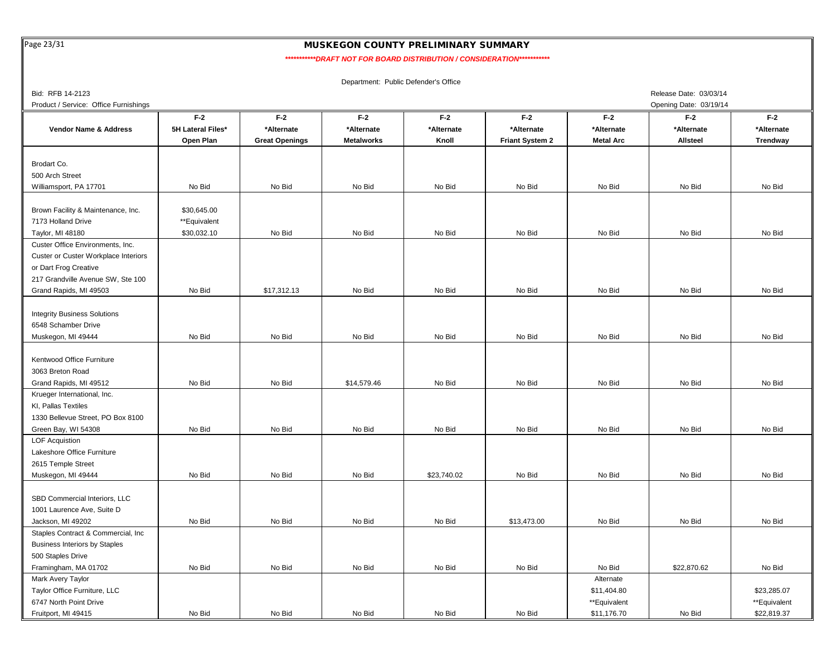Page 23/31

# MUSKEGON COUNTY PRELIMINARY SUMMARY

*\*\*\*\*\*\*\*\*\*\*\*DRAFT NOT FOR BOARD DISTRIBUTION / CONSIDERATION\*\*\*\*\*\*\*\*\*\*\**

| Bid: RFB 14-2123                      |                   |                       |                   |             |                        |                  | Release Date: 03/03/14 |              |
|---------------------------------------|-------------------|-----------------------|-------------------|-------------|------------------------|------------------|------------------------|--------------|
| Product / Service: Office Furnishings |                   |                       |                   |             |                        |                  | Opening Date: 03/19/14 |              |
|                                       | $F-2$             | $F-2$                 | $F-2$             | $F-2$       | $F-2$                  | $F-2$            | $F-2$                  | $F-2$        |
| Vendor Name & Address                 | 5H Lateral Files* | *Alternate            | *Alternate        | *Alternate  | *Alternate             | *Alternate       | *Alternate             | *Alternate   |
|                                       | Open Plan         | <b>Great Openings</b> | <b>Metalworks</b> | Knoll       | <b>Friant System 2</b> | <b>Metal Arc</b> | Allsteel               | Trendway     |
|                                       |                   |                       |                   |             |                        |                  |                        |              |
| Brodart Co.                           |                   |                       |                   |             |                        |                  |                        |              |
| 500 Arch Street                       |                   |                       |                   |             |                        |                  |                        |              |
| Williamsport, PA 17701                | No Bid            | No Bid                | No Bid            | No Bid      | No Bid                 | No Bid           | No Bid                 | No Bid       |
|                                       |                   |                       |                   |             |                        |                  |                        |              |
| Brown Facility & Maintenance, Inc.    | \$30,645.00       |                       |                   |             |                        |                  |                        |              |
| 7173 Holland Drive                    | **Equivalent      |                       |                   |             |                        |                  |                        |              |
| Taylor, MI 48180                      | \$30,032.10       | No Bid                | No Bid            | No Bid      | No Bid                 | No Bid           | No Bid                 | No Bid       |
| Custer Office Environments, Inc.      |                   |                       |                   |             |                        |                  |                        |              |
| Custer or Custer Workplace Interiors  |                   |                       |                   |             |                        |                  |                        |              |
| or Dart Frog Creative                 |                   |                       |                   |             |                        |                  |                        |              |
| 217 Grandville Avenue SW, Ste 100     |                   |                       |                   |             |                        |                  |                        |              |
| Grand Rapids, MI 49503                | No Bid            | \$17,312.13           | No Bid            | No Bid      | No Bid                 | No Bid           | No Bid                 | No Bid       |
|                                       |                   |                       |                   |             |                        |                  |                        |              |
| <b>Integrity Business Solutions</b>   |                   |                       |                   |             |                        |                  |                        |              |
| 6548 Schamber Drive                   |                   |                       |                   |             |                        |                  |                        |              |
| Muskegon, MI 49444                    | No Bid            | No Bid                | No Bid            | No Bid      | No Bid                 | No Bid           | No Bid                 | No Bid       |
|                                       |                   |                       |                   |             |                        |                  |                        |              |
| Kentwood Office Furniture             |                   |                       |                   |             |                        |                  |                        |              |
| 3063 Breton Road                      |                   |                       |                   |             |                        |                  |                        |              |
| Grand Rapids, MI 49512                | No Bid            | No Bid                | \$14,579.46       | No Bid      | No Bid                 | No Bid           | No Bid                 | No Bid       |
| Krueger International, Inc.           |                   |                       |                   |             |                        |                  |                        |              |
| KI, Pallas Textiles                   |                   |                       |                   |             |                        |                  |                        |              |
| 1330 Bellevue Street, PO Box 8100     |                   |                       |                   |             |                        |                  |                        |              |
| Green Bay, WI 54308                   | No Bid            | No Bid                | No Bid            | No Bid      | No Bid                 | No Bid           | No Bid                 | No Bid       |
| LOF Acquistion                        |                   |                       |                   |             |                        |                  |                        |              |
| Lakeshore Office Furniture            |                   |                       |                   |             |                        |                  |                        |              |
| 2615 Temple Street                    |                   |                       |                   |             |                        |                  |                        |              |
| Muskegon, MI 49444                    | No Bid            | No Bid                | No Bid            | \$23,740.02 | No Bid                 | No Bid           | No Bid                 | No Bid       |
|                                       |                   |                       |                   |             |                        |                  |                        |              |
| SBD Commercial Interiors, LLC         |                   |                       |                   |             |                        |                  |                        |              |
| 1001 Laurence Ave, Suite D            |                   |                       |                   |             |                        |                  |                        |              |
| Jackson, MI 49202                     | No Bid            | No Bid                | No Bid            | No Bid      | \$13,473.00            | No Bid           | No Bid                 | No Bid       |
| Staples Contract & Commercial, Inc.   |                   |                       |                   |             |                        |                  |                        |              |
| <b>Business Interiors by Staples</b>  |                   |                       |                   |             |                        |                  |                        |              |
|                                       |                   |                       |                   |             |                        |                  |                        |              |
| 500 Staples Drive                     | No Bid            | No Bid                | No Bid            | No Bid      | No Bid                 | No Bid           | \$22,870.62            | No Bid       |
| Framingham, MA 01702                  |                   |                       |                   |             |                        |                  |                        |              |
| Mark Avery Taylor                     |                   |                       |                   |             |                        | Alternate        |                        |              |
| Taylor Office Furniture, LLC          |                   |                       |                   |             |                        | \$11,404.80      |                        | \$23,285.07  |
| 6747 North Point Drive                |                   |                       |                   |             |                        | **Equivalent     |                        | **Equivalent |
| Fruitport, MI 49415                   | No Bid            | No Bid                | No Bid            | No Bid      | No Bid                 | \$11,176.70      | No Bid                 | \$22,819.37  |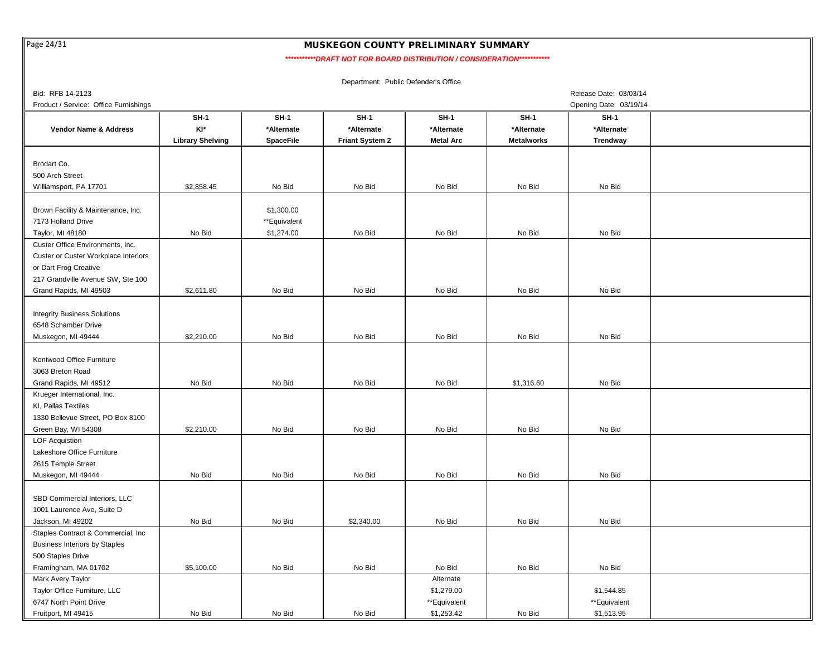Page 24/31

### MUSKEGON COUNTY PRELIMINARY SUMMARY

*\*\*\*\*\*\*\*\*\*\*\*DRAFT NOT FOR BOARD DISTRIBUTION / CONSIDERATION\*\*\*\*\*\*\*\*\*\*\**

| Bid: RFB 14-2123                      |                         |                  |                 |                  |                   | Release Date: 03/03/14 |  |
|---------------------------------------|-------------------------|------------------|-----------------|------------------|-------------------|------------------------|--|
| Product / Service: Office Furnishings |                         |                  |                 |                  |                   | Opening Date: 03/19/14 |  |
|                                       | $SH-1$                  | $SH-1$           | $SH-1$          | $SH-1$           | $SH-1$            | $SH-1$                 |  |
| Vendor Name & Address                 | KI*                     | *Alternate       | *Alternate      | *Alternate       | *Alternate        | *Alternate             |  |
|                                       | <b>Library Shelving</b> | <b>SpaceFile</b> | Friant System 2 | <b>Metal Arc</b> | <b>Metalworks</b> | Trendway               |  |
|                                       |                         |                  |                 |                  |                   |                        |  |
| Brodart Co.                           |                         |                  |                 |                  |                   |                        |  |
| 500 Arch Street                       |                         |                  |                 |                  |                   |                        |  |
| Williamsport, PA 17701                | \$2,858.45              | No Bid           | No Bid          | No Bid           | No Bid            | No Bid                 |  |
|                                       |                         |                  |                 |                  |                   |                        |  |
| Brown Facility & Maintenance, Inc.    |                         | \$1,300.00       |                 |                  |                   |                        |  |
| 7173 Holland Drive                    |                         | **Equivalent     |                 |                  |                   |                        |  |
| Taylor, MI 48180                      | No Bid                  | \$1,274.00       | No Bid          | No Bid           | No Bid            | No Bid                 |  |
| Custer Office Environments, Inc.      |                         |                  |                 |                  |                   |                        |  |
| Custer or Custer Workplace Interiors  |                         |                  |                 |                  |                   |                        |  |
| or Dart Frog Creative                 |                         |                  |                 |                  |                   |                        |  |
| 217 Grandville Avenue SW, Ste 100     |                         |                  |                 |                  |                   |                        |  |
| Grand Rapids, MI 49503                | \$2,611.80              | No Bid           | No Bid          | No Bid           | No Bid            | No Bid                 |  |
|                                       |                         |                  |                 |                  |                   |                        |  |
| <b>Integrity Business Solutions</b>   |                         |                  |                 |                  |                   |                        |  |
| 6548 Schamber Drive                   |                         |                  |                 |                  |                   |                        |  |
| Muskegon, MI 49444                    | \$2,210.00              | No Bid           | No Bid          | No Bid           | No Bid            | No Bid                 |  |
|                                       |                         |                  |                 |                  |                   |                        |  |
| Kentwood Office Furniture             |                         |                  |                 |                  |                   |                        |  |
| 3063 Breton Road                      |                         |                  |                 |                  |                   |                        |  |
| Grand Rapids, MI 49512                | No Bid                  | No Bid           | No Bid          | No Bid           | \$1,316.60        | No Bid                 |  |
| Krueger International, Inc.           |                         |                  |                 |                  |                   |                        |  |
| KI, Pallas Textiles                   |                         |                  |                 |                  |                   |                        |  |
| 1330 Bellevue Street, PO Box 8100     |                         |                  |                 |                  |                   |                        |  |
| Green Bay, WI 54308                   | \$2,210.00              | No Bid           | No Bid          | No Bid           | No Bid            | No Bid                 |  |
|                                       |                         |                  |                 |                  |                   |                        |  |
| <b>LOF Acquistion</b>                 |                         |                  |                 |                  |                   |                        |  |
| Lakeshore Office Furniture            |                         |                  |                 |                  |                   |                        |  |
| 2615 Temple Street                    | No Bid                  | No Bid           | No Bid          | No Bid           | No Bid            | No Bid                 |  |
| Muskegon, MI 49444                    |                         |                  |                 |                  |                   |                        |  |
|                                       |                         |                  |                 |                  |                   |                        |  |
| SBD Commercial Interiors, LLC         |                         |                  |                 |                  |                   |                        |  |
| 1001 Laurence Ave, Suite D            |                         |                  |                 |                  |                   |                        |  |
| Jackson, MI 49202                     | No Bid                  | No Bid           | \$2,340.00      | No Bid           | No Bid            | No Bid                 |  |
| Staples Contract & Commercial, Inc    |                         |                  |                 |                  |                   |                        |  |
| <b>Business Interiors by Staples</b>  |                         |                  |                 |                  |                   |                        |  |
| 500 Staples Drive                     |                         |                  |                 |                  |                   |                        |  |
| Framingham, MA 01702                  | \$5,100.00              | No Bid           | No Bid          | No Bid           | No Bid            | No Bid                 |  |
| Mark Avery Taylor                     |                         |                  |                 | Alternate        |                   |                        |  |
| Taylor Office Furniture, LLC          |                         |                  |                 | \$1,279.00       |                   | \$1,544.85             |  |
| 6747 North Point Drive                |                         |                  |                 | **Equivalent     |                   | **Equivalent           |  |
| Fruitport, MI 49415                   | No Bid                  | No Bid           | No Bid          | \$1,253.42       | No Bid            | \$1,513.95             |  |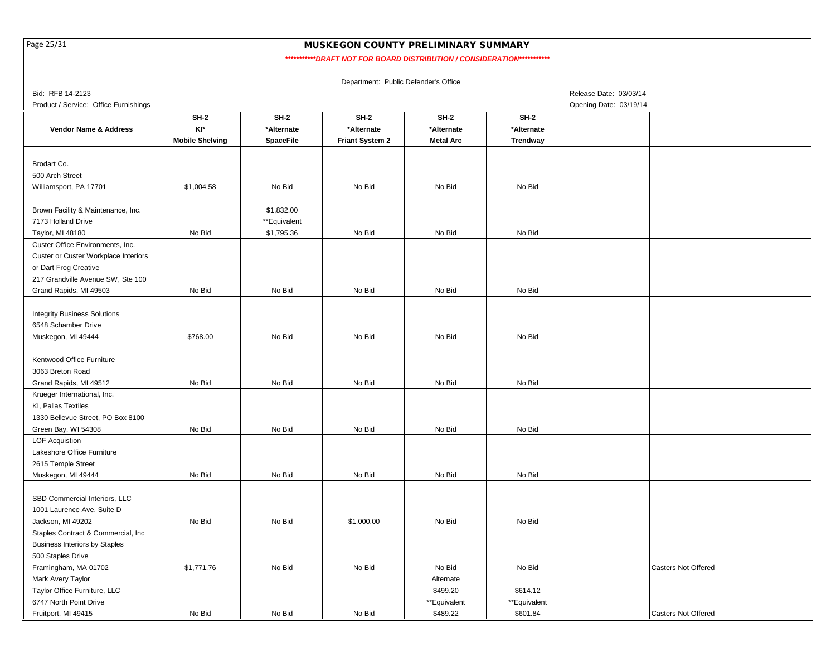Page 25/31

### MUSKEGON COUNTY PRELIMINARY SUMMARY

*\*\*\*\*\*\*\*\*\*\*\*DRAFT NOT FOR BOARD DISTRIBUTION / CONSIDERATION\*\*\*\*\*\*\*\*\*\*\**

| Bid: RFB 14-2123                      |                        |                  |                        |                  |              | Release Date: 03/03/14     |
|---------------------------------------|------------------------|------------------|------------------------|------------------|--------------|----------------------------|
| Product / Service: Office Furnishings |                        |                  |                        |                  |              | Opening Date: 03/19/14     |
|                                       | <b>SH-2</b>            | <b>SH-2</b>      | <b>SH-2</b>            | $SH-2$           | $SH-2$       |                            |
| <b>Vendor Name &amp; Address</b>      | KI*                    | *Alternate       | *Alternate             | *Alternate       | *Alternate   |                            |
|                                       | <b>Mobile Shelving</b> | <b>SpaceFile</b> | <b>Friant System 2</b> | <b>Metal Arc</b> | Trendway     |                            |
|                                       |                        |                  |                        |                  |              |                            |
| Brodart Co.                           |                        |                  |                        |                  |              |                            |
| 500 Arch Street                       |                        |                  |                        |                  |              |                            |
| Williamsport, PA 17701                | \$1,004.58             | No Bid           | No Bid                 | No Bid           | No Bid       |                            |
| Brown Facility & Maintenance, Inc.    |                        | \$1,832.00       |                        |                  |              |                            |
| 7173 Holland Drive                    |                        | **Equivalent     |                        |                  |              |                            |
| Taylor, MI 48180                      | No Bid                 |                  | No Bid                 | No Bid           | No Bid       |                            |
| Custer Office Environments, Inc.      |                        | \$1,795.36       |                        |                  |              |                            |
|                                       |                        |                  |                        |                  |              |                            |
| Custer or Custer Workplace Interiors  |                        |                  |                        |                  |              |                            |
| or Dart Frog Creative                 |                        |                  |                        |                  |              |                            |
| 217 Grandville Avenue SW, Ste 100     |                        |                  |                        |                  |              |                            |
| Grand Rapids, MI 49503                | No Bid                 | No Bid           | No Bid                 | No Bid           | No Bid       |                            |
| <b>Integrity Business Solutions</b>   |                        |                  |                        |                  |              |                            |
|                                       |                        |                  |                        |                  |              |                            |
| 6548 Schamber Drive                   | \$768.00               | No Bid           |                        | No Bid           | No Bid       |                            |
| Muskegon, MI 49444                    |                        |                  | No Bid                 |                  |              |                            |
| Kentwood Office Furniture             |                        |                  |                        |                  |              |                            |
| 3063 Breton Road                      |                        |                  |                        |                  |              |                            |
| Grand Rapids, MI 49512                | No Bid                 | No Bid           | No Bid                 | No Bid           | No Bid       |                            |
| Krueger International, Inc.           |                        |                  |                        |                  |              |                            |
| KI, Pallas Textiles                   |                        |                  |                        |                  |              |                            |
| 1330 Bellevue Street, PO Box 8100     |                        |                  |                        |                  |              |                            |
| Green Bay, WI 54308                   | No Bid                 | No Bid           | No Bid                 | No Bid           | No Bid       |                            |
| <b>LOF Acquistion</b>                 |                        |                  |                        |                  |              |                            |
| Lakeshore Office Furniture            |                        |                  |                        |                  |              |                            |
| 2615 Temple Street                    |                        |                  |                        |                  |              |                            |
| Muskegon, MI 49444                    | No Bid                 | No Bid           | No Bid                 | No Bid           | No Bid       |                            |
|                                       |                        |                  |                        |                  |              |                            |
| SBD Commercial Interiors, LLC         |                        |                  |                        |                  |              |                            |
| 1001 Laurence Ave, Suite D            |                        |                  |                        |                  |              |                            |
| Jackson, MI 49202                     | No Bid                 | No Bid           | \$1,000.00             | No Bid           | No Bid       |                            |
| Staples Contract & Commercial, Inc    |                        |                  |                        |                  |              |                            |
| <b>Business Interiors by Staples</b>  |                        |                  |                        |                  |              |                            |
| 500 Staples Drive                     |                        |                  |                        |                  |              |                            |
| Framingham, MA 01702                  | \$1,771.76             | No Bid           | No Bid                 | No Bid           | No Bid       | Casters Not Offered        |
| Mark Avery Taylor                     |                        |                  |                        | Alternate        |              |                            |
| Taylor Office Furniture, LLC          |                        |                  |                        | \$499.20         | \$614.12     |                            |
| 6747 North Point Drive                |                        |                  |                        | **Equivalent     | **Equivalent |                            |
| Fruitport, MI 49415                   | No Bid                 | No Bid           | No Bid                 | \$489.22         | \$601.84     | <b>Casters Not Offered</b> |
|                                       |                        |                  |                        |                  |              |                            |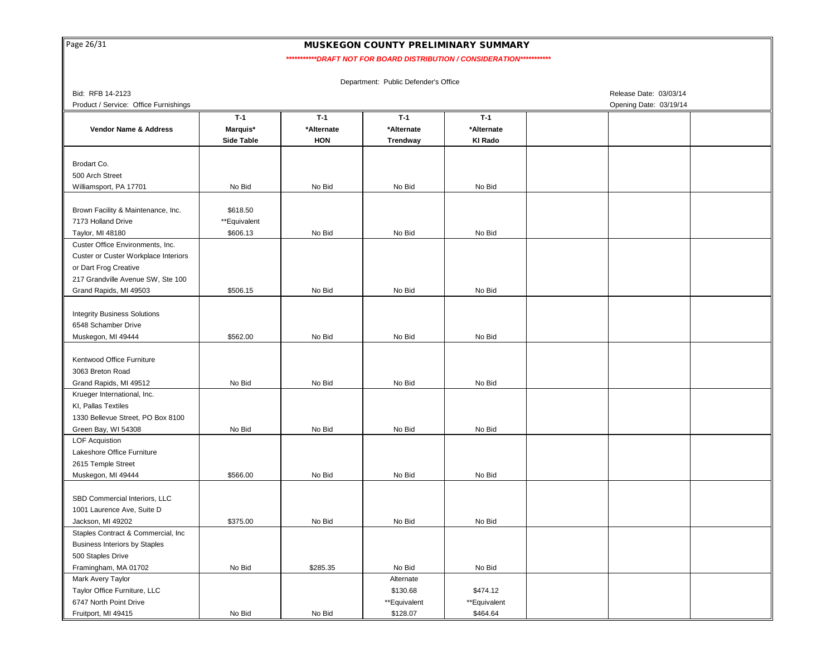| Page 26/31 |  |
|------------|--|
|            |  |

Fruitport, MI 49415

#### MUSKEGON COUNTY PRELIMINARY SUMMARY

 *\*\*\*\*\*\*\*\*\*\*\*DRAFT NOT FOR BOARD DISTRIBUTION / CONSIDERATION\*\*\*\*\*\*\*\*\*\*\**

Bid: RFB 14-2123 Release Date: 03/03/14 Product / Service: Office Furnishings **Opening Date: 03/19/14** Construction of the United Service: Office Furnishings **Opening Date: 03/19/14** Brodart Co. 500 Arch Street Williamsport, PA 17701 Brown Facility & Maintenance, Inc. 7173 Holland Drive Taylor, MI 48180 Custer Office Environments, Inc. Custer or Custer Workplace Interiors or Dart Frog Creative 217 Grandville Avenue SW, Ste 100 Grand Rapids, MI 49503 Integrity Business Solutions 6548 Schamber Drive Muskegon, MI 49444 Kentwood Office Furniture 3063 Breton Road Grand Rapids, MI 49512 Krueger International, Inc. KI, Pallas Textiles 1330 Bellevue Street, PO Box 8100 Green Bay, WI 54308 LOF Acquistion Lakeshore Office Furniture 2615 Temple Street Muskegon, MI 49444 SBD Commercial Interiors, LLC 1001 Laurence Ave, Suite D Jackson, MI 49202 Staples Contract & Commercial, Inc Business Interiors by Staples 500 Staples Drive Framingham, MA 01702 Mark Avery Taylor Taylor Office Furniture, LLC 6747 North Point Drive Department: Public Defender's Office **T-1 T-1 T-1 T-1 Side Table HON Trendway KI Rado** No Bid No Bid No Bid **Vendor Name & Address Marquis\* \*Alternate \*Alternate \*Alternate** No Bid \$618.50 \*\*Equivalent \$606.13 No Bid No Bid No Bid \$506.15 No Bid No Bid No Bid \$562.00 No Bid No Bid No Bid No Bid No Bid No Bid No Bid No Bid \$285.35 No Bid No Bid Alternate \$130.68 \$474.12 \*\*Equivalent \*\*Equivalent No Bid No Bid No Bid No Bid \$375.00 No Bid No Bid No Bid \$566.00 No Bid No Bid No Bid

No Bid No Bid \$128.07 \$464.64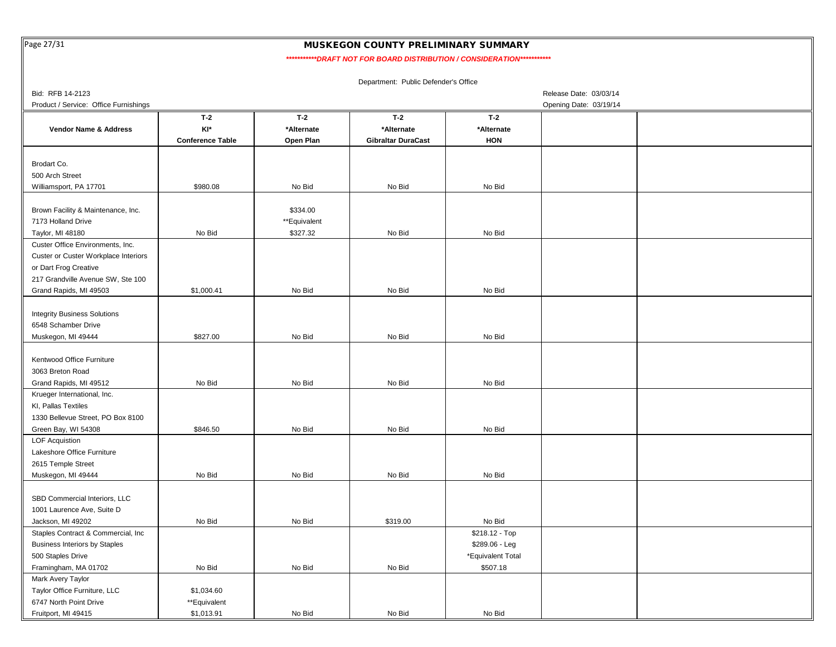Page 27/31

Fruitport, MI 49415

### MUSKEGON COUNTY PRELIMINARY SUMMARY

 *\*\*\*\*\*\*\*\*\*\*\*DRAFT NOT FOR BOARD DISTRIBUTION / CONSIDERATION\*\*\*\*\*\*\*\*\*\*\**

|                                                               |                         |              | Department: Public Defender's Office |                   |                        |  |
|---------------------------------------------------------------|-------------------------|--------------|--------------------------------------|-------------------|------------------------|--|
| Bid: RFB 14-2123                                              |                         |              |                                      |                   | Release Date: 03/03/14 |  |
| Product / Service: Office Furnishings                         |                         |              |                                      |                   | Opening Date: 03/19/14 |  |
|                                                               | $T-2$                   | $T-2$        | $T-2$                                | $T-2$             |                        |  |
| Vendor Name & Address                                         | KI*                     | *Alternate   | *Alternate                           | *Alternate        |                        |  |
|                                                               | <b>Conference Table</b> | Open Plan    | <b>Gibraltar DuraCast</b>            | <b>HON</b>        |                        |  |
|                                                               |                         |              |                                      |                   |                        |  |
| Brodart Co.                                                   |                         |              |                                      |                   |                        |  |
| 500 Arch Street                                               |                         |              |                                      |                   |                        |  |
| Williamsport, PA 17701                                        | \$980.08                | No Bid       | No Bid                               | No Bid            |                        |  |
|                                                               |                         |              |                                      |                   |                        |  |
| Brown Facility & Maintenance, Inc.                            |                         | \$334.00     |                                      |                   |                        |  |
| 7173 Holland Drive                                            |                         | **Equivalent |                                      |                   |                        |  |
| Taylor, MI 48180                                              | No Bid                  | \$327.32     | No Bid                               | No Bid            |                        |  |
| Custer Office Environments, Inc.                              |                         |              |                                      |                   |                        |  |
| Custer or Custer Workplace Interiors<br>or Dart Frog Creative |                         |              |                                      |                   |                        |  |
| 217 Grandville Avenue SW, Ste 100                             |                         |              |                                      |                   |                        |  |
| Grand Rapids, MI 49503                                        | \$1,000.41              | No Bid       | No Bid                               | No Bid            |                        |  |
|                                                               |                         |              |                                      |                   |                        |  |
| <b>Integrity Business Solutions</b>                           |                         |              |                                      |                   |                        |  |
| 6548 Schamber Drive                                           |                         |              |                                      |                   |                        |  |
| Muskegon, MI 49444                                            | \$827.00                | No Bid       | No Bid                               | No Bid            |                        |  |
|                                                               |                         |              |                                      |                   |                        |  |
| Kentwood Office Furniture                                     |                         |              |                                      |                   |                        |  |
| 3063 Breton Road                                              |                         |              |                                      |                   |                        |  |
| Grand Rapids, MI 49512                                        | No Bid                  | No Bid       | No Bid                               | No Bid            |                        |  |
| Krueger International, Inc.                                   |                         |              |                                      |                   |                        |  |
| KI, Pallas Textiles                                           |                         |              |                                      |                   |                        |  |
| 1330 Bellevue Street, PO Box 8100                             |                         |              |                                      |                   |                        |  |
| Green Bay, WI 54308                                           | \$846.50                | No Bid       | No Bid                               | No Bid            |                        |  |
| <b>LOF Acquistion</b>                                         |                         |              |                                      |                   |                        |  |
| Lakeshore Office Furniture                                    |                         |              |                                      |                   |                        |  |
| 2615 Temple Street                                            |                         |              |                                      |                   |                        |  |
| Muskegon, MI 49444                                            | No Bid                  | No Bid       | No Bid                               | No Bid            |                        |  |
|                                                               |                         |              |                                      |                   |                        |  |
| SBD Commercial Interiors, LLC                                 |                         |              |                                      |                   |                        |  |
| 1001 Laurence Ave, Suite D                                    |                         |              |                                      |                   |                        |  |
| Jackson, MI 49202                                             | No Bid                  | No Bid       | \$319.00                             | No Bid            |                        |  |
| Staples Contract & Commercial, Inc                            |                         |              |                                      | \$218.12 - Top    |                        |  |
| <b>Business Interiors by Staples</b>                          |                         |              |                                      | \$289.06 - Leg    |                        |  |
| 500 Staples Drive                                             |                         |              |                                      | *Equivalent Total |                        |  |
| Framingham, MA 01702                                          | No Bid                  | No Bid       | No Bid                               | \$507.18          |                        |  |
| Mark Avery Taylor                                             |                         |              |                                      |                   |                        |  |
| Taylor Office Furniture, LLC                                  | \$1,034.60              |              |                                      |                   |                        |  |
| 6747 North Point Drive                                        | **Equivalent            |              |                                      |                   |                        |  |

\$1,013.91 No Bid No Bid No Bid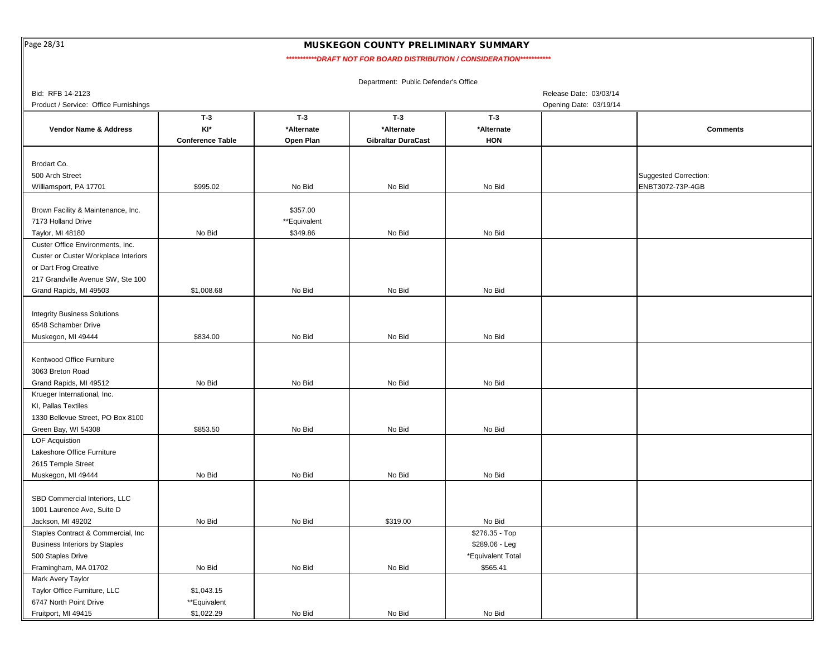Page 28/31

Fruitport, MI 49415

#### MUSKEGON COUNTY PRELIMINARY SUMMARY

 *\*\*\*\*\*\*\*\*\*\*\*DRAFT NOT FOR BOARD DISTRIBUTION / CONSIDERATION\*\*\*\*\*\*\*\*\*\*\**

|                                       |                         |              | Department: Public Defender's Office |                   |                        |                              |
|---------------------------------------|-------------------------|--------------|--------------------------------------|-------------------|------------------------|------------------------------|
| Bid: RFB 14-2123                      |                         |              |                                      |                   | Release Date: 03/03/14 |                              |
| Product / Service: Office Furnishings |                         |              |                                      |                   | Opening Date: 03/19/14 |                              |
|                                       | $T-3$                   | $T-3$        | $T-3$                                | $T-3$             |                        |                              |
| Vendor Name & Address                 | KI*                     | *Alternate   | *Alternate                           | *Alternate        |                        | <b>Comments</b>              |
|                                       | <b>Conference Table</b> | Open Plan    | <b>Gibraltar DuraCast</b>            | <b>HON</b>        |                        |                              |
|                                       |                         |              |                                      |                   |                        |                              |
| Brodart Co.                           |                         |              |                                      |                   |                        |                              |
| 500 Arch Street                       |                         |              |                                      |                   |                        | <b>Suggested Correction:</b> |
| Williamsport, PA 17701                | \$995.02                | No Bid       | No Bid                               | No Bid            |                        | ENBT3072-73P-4GB             |
|                                       |                         |              |                                      |                   |                        |                              |
| Brown Facility & Maintenance, Inc.    |                         | \$357.00     |                                      |                   |                        |                              |
| 7173 Holland Drive                    |                         | **Equivalent |                                      |                   |                        |                              |
| Taylor, MI 48180                      | No Bid                  | \$349.86     | No Bid                               | No Bid            |                        |                              |
| Custer Office Environments, Inc.      |                         |              |                                      |                   |                        |                              |
| Custer or Custer Workplace Interiors  |                         |              |                                      |                   |                        |                              |
| or Dart Frog Creative                 |                         |              |                                      |                   |                        |                              |
| 217 Grandville Avenue SW, Ste 100     |                         |              |                                      |                   |                        |                              |
| Grand Rapids, MI 49503                | \$1,008.68              | No Bid       | No Bid                               | No Bid            |                        |                              |
|                                       |                         |              |                                      |                   |                        |                              |
| <b>Integrity Business Solutions</b>   |                         |              |                                      |                   |                        |                              |
| 6548 Schamber Drive                   |                         |              |                                      |                   |                        |                              |
| Muskegon, MI 49444                    | \$834.00                | No Bid       | No Bid                               | No Bid            |                        |                              |
|                                       |                         |              |                                      |                   |                        |                              |
| Kentwood Office Furniture             |                         |              |                                      |                   |                        |                              |
| 3063 Breton Road                      |                         |              |                                      |                   |                        |                              |
| Grand Rapids, MI 49512                | No Bid                  | No Bid       | No Bid                               | No Bid            |                        |                              |
| Krueger International, Inc.           |                         |              |                                      |                   |                        |                              |
| KI, Pallas Textiles                   |                         |              |                                      |                   |                        |                              |
| 1330 Bellevue Street, PO Box 8100     |                         |              |                                      |                   |                        |                              |
| Green Bay, WI 54308                   | \$853.50                | No Bid       | No Bid                               | No Bid            |                        |                              |
| <b>LOF Acquistion</b>                 |                         |              |                                      |                   |                        |                              |
| Lakeshore Office Furniture            |                         |              |                                      |                   |                        |                              |
| 2615 Temple Street                    |                         |              |                                      |                   |                        |                              |
| Muskegon, MI 49444                    | No Bid                  | No Bid       | No Bid                               | No Bid            |                        |                              |
|                                       |                         |              |                                      |                   |                        |                              |
| SBD Commercial Interiors, LLC         |                         |              |                                      |                   |                        |                              |
| 1001 Laurence Ave, Suite D            |                         |              |                                      |                   |                        |                              |
| Jackson, MI 49202                     | No Bid                  | No Bid       | \$319.00                             | No Bid            |                        |                              |
| Staples Contract & Commercial, Inc    |                         |              |                                      | \$276.35 - Top    |                        |                              |
| <b>Business Interiors by Staples</b>  |                         |              |                                      | $$289.06 - Leg$   |                        |                              |
| 500 Staples Drive                     |                         |              |                                      | *Equivalent Total |                        |                              |
| Framingham, MA 01702                  | No Bid                  | No Bid       | No Bid                               | \$565.41          |                        |                              |
| Mark Avery Taylor                     |                         |              |                                      |                   |                        |                              |
| Taylor Office Furniture, LLC          | \$1,043.15              |              |                                      |                   |                        |                              |
| 6747 North Point Drive                | **Equivalent            |              |                                      |                   |                        |                              |

\$1,022.29 No Bid No Bid No Bid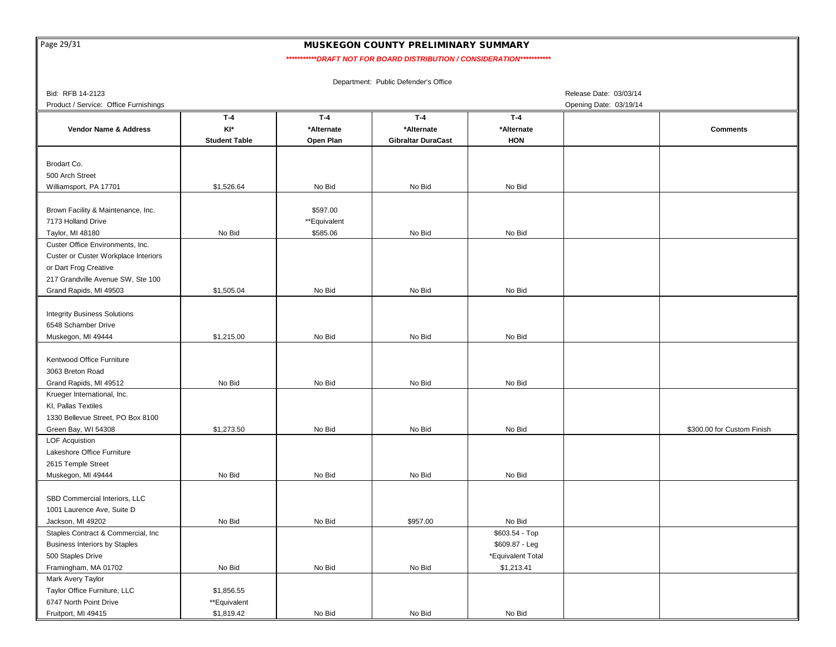Page 29/31

Fruitport, MI 49415

#### MUSKEGON COUNTY PRELIMINARY SUMMARY

 *\*\*\*\*\*\*\*\*\*\*\*DRAFT NOT FOR BOARD DISTRIBUTION / CONSIDERATION\*\*\*\*\*\*\*\*\*\*\**

Bid: RFB 14-2123 Release Date: 03/03/14 Product / Service: Office Furnishings **Opening Date: 03/19/14** Compare: 03/19/14 Brodart Co. 500 Arch Street Williamsport, PA 17701 Brown Facility & Maintenance, Inc. 7173 Holland Drive Taylor, MI 48180 Custer Office Environments, Inc. Custer or Custer Workplace Interiors or Dart Frog Creative 217 Grandville Avenue SW, Ste 100 Grand Rapids, MI 49503 Integrity Business Solutions 6548 Schamber Drive Muskegon, MI 49444 Kentwood Office Furniture 3063 Breton Road Grand Rapids, MI 49512 Krueger International, Inc. KI, Pallas Textiles 1330 Bellevue Street, PO Box 8100 Green Bay, WI 54308 LOF Acquistion Lakeshore Office Furniture 2615 Temple Street Muskegon, MI 49444 SBD Commercial Interiors, LLC 1001 Laurence Ave, Suite D Jackson, MI 49202 Staples Contract & Commercial, Inc Business Interiors by Staples 500 Staples Drive Framingham, MA 01702 Mark Avery Taylor Taylor Office Furniture, LLC 6747 North Point Drive Department: Public Defender's Office **T-4 T-4 T-4 T-4 Student Table Open Plan Gibraltar DuraCast HON** \$1,526.64 No Bid No Bid **Vendor Name & Address KI\* \*Alternate \*Alternate \*Alternate** No Bid \$597.00 \*\*Equivalent No Bid \$585.06 No Bid No Bid \$1,505.04 No Bid No Bid No Bid \$1,215.00 No Bid No Bid No Bid No Bid No Bid No Bid No Bid \$1,273.50 No Bid No Bid No Bid \$1,856.55 \*\*Equivalent **Comments** \$300.00 for Custom Finish No Bid No Bid No Bid No Bid No Bid No Bid \$957.00 No Bid \$603.54 - Top No Bid No Bid No Bid \$1,213.41 \$609.87 - Leg \*Equivalent Total

\$1,819.42 No Bid No Bid No Bid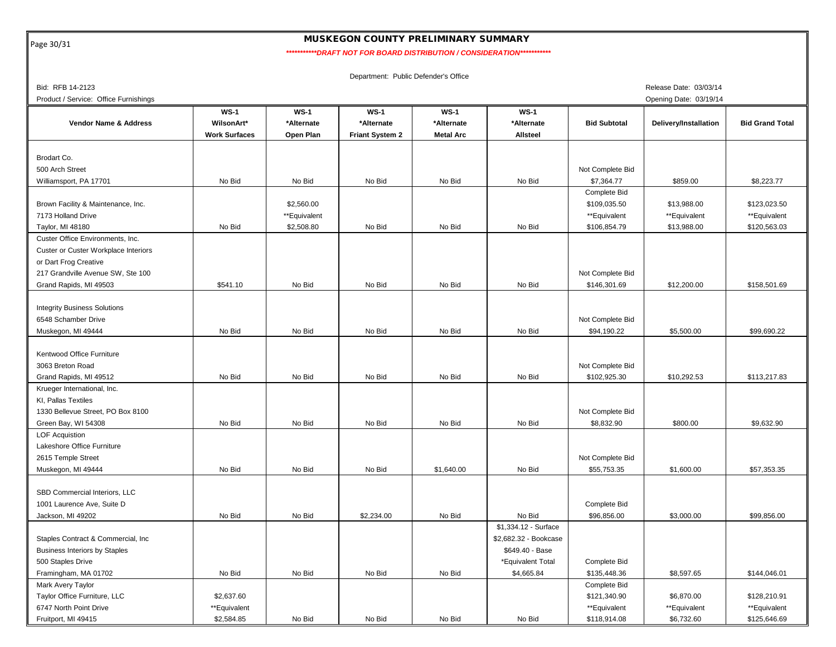Page 30/31

# MUSKEGON COUNTY PRELIMINARY SUMMARY

 *\*\*\*\*\*\*\*\*\*\*\*DRAFT NOT FOR BOARD DISTRIBUTION / CONSIDERATION\*\*\*\*\*\*\*\*\*\*\**

| Bid: RFB 14-2123                      |                      |              |                        |                  |                       |                     | Release Date: 03/03/14 |                        |
|---------------------------------------|----------------------|--------------|------------------------|------------------|-----------------------|---------------------|------------------------|------------------------|
| Product / Service: Office Furnishings |                      |              |                        |                  |                       |                     | Opening Date: 03/19/14 |                        |
|                                       | $WS-1$               | $WS-1$       | $WS-1$                 | $WS-1$           | $WS-1$                |                     |                        |                        |
| Vendor Name & Address                 | WilsonArt*           | *Alternate   | *Alternate             | *Alternate       | *Alternate            | <b>Bid Subtotal</b> | Delivery/Installation  | <b>Bid Grand Total</b> |
|                                       | <b>Work Surfaces</b> | Open Plan    | <b>Friant System 2</b> | <b>Metal Arc</b> | <b>Allsteel</b>       |                     |                        |                        |
|                                       |                      |              |                        |                  |                       |                     |                        |                        |
| Brodart Co.                           |                      |              |                        |                  |                       |                     |                        |                        |
| 500 Arch Street                       |                      |              |                        |                  |                       | Not Complete Bid    |                        |                        |
| Williamsport, PA 17701                | No Bid               | No Bid       | No Bid                 | No Bid           | No Bid                | \$7,364.77          | \$859.00               | \$8,223.77             |
|                                       |                      |              |                        |                  |                       | Complete Bid        |                        |                        |
| Brown Facility & Maintenance, Inc.    |                      | \$2,560.00   |                        |                  |                       | \$109,035.50        | \$13,988.00            | \$123,023.50           |
| 7173 Holland Drive                    |                      | **Equivalent |                        |                  |                       | **Equivalent        | **Equivalent           | **Equivalent           |
| Taylor, MI 48180                      | No Bid               | \$2,508.80   | No Bid                 | No Bid           | No Bid                | \$106,854.79        | \$13,988.00            | \$120,563.03           |
| Custer Office Environments, Inc.      |                      |              |                        |                  |                       |                     |                        |                        |
| Custer or Custer Workplace Interiors  |                      |              |                        |                  |                       |                     |                        |                        |
| or Dart Frog Creative                 |                      |              |                        |                  |                       |                     |                        |                        |
| 217 Grandville Avenue SW, Ste 100     |                      |              |                        |                  |                       | Not Complete Bid    |                        |                        |
| Grand Rapids, MI 49503                | \$541.10             | No Bid       | No Bid                 | No Bid           | No Bid                | \$146,301.69        | \$12,200.00            | \$158,501.69           |
|                                       |                      |              |                        |                  |                       |                     |                        |                        |
| <b>Integrity Business Solutions</b>   |                      |              |                        |                  |                       |                     |                        |                        |
| 6548 Schamber Drive                   |                      |              |                        |                  |                       | Not Complete Bid    |                        |                        |
| Muskegon, MI 49444                    | No Bid               | No Bid       | No Bid                 | No Bid           | No Bid                | \$94,190.22         | \$5,500.00             | \$99,690.22            |
|                                       |                      |              |                        |                  |                       |                     |                        |                        |
| Kentwood Office Furniture             |                      |              |                        |                  |                       |                     |                        |                        |
| 3063 Breton Road                      |                      |              |                        |                  |                       | Not Complete Bid    |                        |                        |
| Grand Rapids, MI 49512                | No Bid               | No Bid       | No Bid                 | No Bid           | No Bid                | \$102,925.30        | \$10,292.53            | \$113,217.83           |
| Krueger International, Inc.           |                      |              |                        |                  |                       |                     |                        |                        |
| KI, Pallas Textiles                   |                      |              |                        |                  |                       |                     |                        |                        |
| 1330 Bellevue Street, PO Box 8100     |                      |              |                        |                  |                       | Not Complete Bid    |                        |                        |
| Green Bay, WI 54308                   | No Bid               | No Bid       | No Bid                 | No Bid           | No Bid                | \$8,832.90          | \$800.00               | \$9.632.90             |
| <b>LOF Acquistion</b>                 |                      |              |                        |                  |                       |                     |                        |                        |
| Lakeshore Office Furniture            |                      |              |                        |                  |                       |                     |                        |                        |
| 2615 Temple Street                    |                      |              |                        |                  |                       | Not Complete Bid    |                        |                        |
| Muskegon, MI 49444                    | No Bid               | No Bid       | No Bid                 | \$1,640.00       | No Bid                | \$55,753.35         | \$1,600.00             | \$57,353.35            |
|                                       |                      |              |                        |                  |                       |                     |                        |                        |
| SBD Commercial Interiors, LLC         |                      |              |                        |                  |                       |                     |                        |                        |
| 1001 Laurence Ave, Suite D            |                      |              |                        |                  |                       | Complete Bid        |                        |                        |
| Jackson, MI 49202                     | No Bid               | No Bid       | \$2,234.00             | No Bid           | No Bid                | \$96,856.00         | \$3,000.00             | \$99,856.00            |
|                                       |                      |              |                        |                  | \$1,334.12 - Surface  |                     |                        |                        |
| Staples Contract & Commercial, Inc    |                      |              |                        |                  | \$2,682.32 - Bookcase |                     |                        |                        |
| <b>Business Interiors by Staples</b>  |                      |              |                        |                  | \$649.40 - Base       |                     |                        |                        |
| 500 Staples Drive                     |                      |              |                        |                  | *Equivalent Total     | Complete Bid        |                        |                        |
| Framingham, MA 01702                  | No Bid               | No Bid       | No Bid                 | No Bid           | \$4,665.84            | \$135,448.36        | \$8,597.65             | \$144,046.01           |
| Mark Avery Taylor                     |                      |              |                        |                  |                       | Complete Bid        |                        |                        |
| Taylor Office Furniture, LLC          | \$2,637.60           |              |                        |                  |                       | \$121,340.90        | \$6,870.00             | \$128,210.91           |
| 6747 North Point Drive                | **Equivalent         |              |                        |                  |                       | **Equivalent        | **Equivalent           | **Equivalent           |
| Fruitport, MI 49415                   | \$2,584.85           | No Bid       | No Bid                 | No Bid           | No Bid                | \$118,914.08        | \$6,732.60             | \$125,646.69           |
|                                       |                      |              |                        |                  |                       |                     |                        |                        |